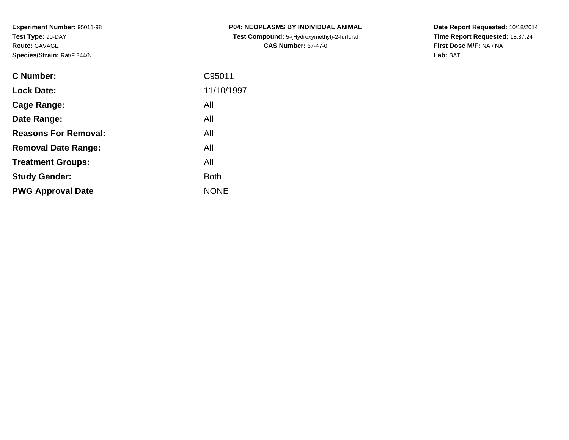**Experiment Number:** 95011-98**Test Type:** 90-DAY**Route:** GAVAGE**Species/Strain:** Rat/F 344/N

| <b>C Number:</b>            | C95011      |
|-----------------------------|-------------|
| <b>Lock Date:</b>           | 11/10/1997  |
| <b>Cage Range:</b>          | All         |
| Date Range:                 | All         |
| <b>Reasons For Removal:</b> | All         |
| <b>Removal Date Range:</b>  | All         |
| <b>Treatment Groups:</b>    | All         |
| <b>Study Gender:</b>        | <b>Both</b> |
| <b>PWG Approval Date</b>    | <b>NONE</b> |
|                             |             |

**P04: NEOPLASMS BY INDIVIDUAL ANIMAL Test Compound:** 5-(Hydroxymethyl)-2-furfural **CAS Number:** 67-47-0

**Date Report Requested:** 10/18/2014 **Time Report Requested:** 18:37:24**First Dose M/F:** NA / NA**Lab:** BAT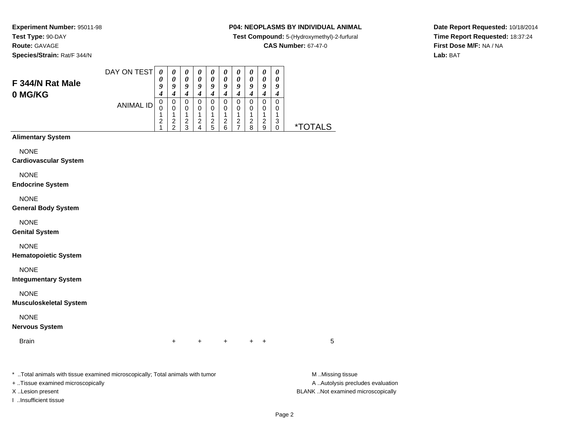## **Route:** GAVAGE

**Species/Strain:** Rat/F 344/N

## **P04: NEOPLASMS BY INDIVIDUAL ANIMAL**

**Test Compound:** 5-(Hydroxymethyl)-2-furfural

**CAS Number:** 67-47-0

**Date Report Requested:** 10/18/2014**Time Report Requested:** 18:37:24**First Dose M/F:** NA / NA**Lab:** BAT

|                                                                                | DAY ON TEST      | $\boldsymbol{\theta}$                                  | $\pmb{\theta}$                                          | $\pmb{\theta}$                                 | $\boldsymbol{\theta}$                                         | $\boldsymbol{\theta}$                             | $\pmb{\theta}$                       | $\pmb{\theta}$                                  | $\boldsymbol{\theta}$                                          | $\boldsymbol{\theta}$                                  | $\pmb{\theta}$                      |                       |
|--------------------------------------------------------------------------------|------------------|--------------------------------------------------------|---------------------------------------------------------|------------------------------------------------|---------------------------------------------------------------|---------------------------------------------------|--------------------------------------|-------------------------------------------------|----------------------------------------------------------------|--------------------------------------------------------|-------------------------------------|-----------------------|
| F 344/N Rat Male                                                               |                  | 0<br>9                                                 | $\boldsymbol{\theta}$<br>9<br>$\boldsymbol{4}$          | $\boldsymbol{\theta}$<br>9<br>$\boldsymbol{4}$ | $\boldsymbol{\theta}$<br>$\boldsymbol{g}$<br>$\boldsymbol{4}$ | $\boldsymbol{\theta}$<br>9<br>$\boldsymbol{4}$    | 0<br>9<br>$\boldsymbol{4}$           | $\boldsymbol{\theta}$<br>9<br>$\boldsymbol{4}$  | 0<br>9<br>$\boldsymbol{4}$                                     | $\pmb{\theta}$<br>$\boldsymbol{9}$<br>$\boldsymbol{4}$ | 0<br>9<br>$\boldsymbol{4}$          |                       |
| 0 MG/KG                                                                        | <b>ANIMAL ID</b> | 4<br>$\,0\,$<br>0<br>1<br>$\overline{\mathbf{c}}$<br>1 | $\pmb{0}$<br>$\pmb{0}$<br>$\mathbf{1}$<br>$\frac{2}{2}$ | $\pmb{0}$<br>0<br>1<br>$\frac{2}{3}$           | $\pmb{0}$<br>0<br>$\mathbf{1}$<br>$\frac{2}{4}$               | $\mathbf 0$<br>0<br>$\mathbf{1}$<br>$\frac{2}{5}$ | $\pmb{0}$<br>0<br>1<br>$\frac{2}{6}$ | $\pmb{0}$<br>0<br>$\mathbf{1}$<br>$\frac{2}{7}$ | $\mathbf 0$<br>0<br>1<br>$\begin{array}{c} 2 \\ 8 \end{array}$ | $\mathbf 0$<br>0<br>$\mathbf{1}$<br>$\frac{2}{9}$      | $\mathbf 0$<br>0<br>1<br>$_{0}^{3}$ | <i><b>*TOTALS</b></i> |
| <b>Alimentary System</b>                                                       |                  |                                                        |                                                         |                                                |                                                               |                                                   |                                      |                                                 |                                                                |                                                        |                                     |                       |
| <b>NONE</b><br><b>Cardiovascular System</b>                                    |                  |                                                        |                                                         |                                                |                                                               |                                                   |                                      |                                                 |                                                                |                                                        |                                     |                       |
| <b>NONE</b><br><b>Endocrine System</b>                                         |                  |                                                        |                                                         |                                                |                                                               |                                                   |                                      |                                                 |                                                                |                                                        |                                     |                       |
| <b>NONE</b><br><b>General Body System</b>                                      |                  |                                                        |                                                         |                                                |                                                               |                                                   |                                      |                                                 |                                                                |                                                        |                                     |                       |
| <b>NONE</b><br><b>Genital System</b>                                           |                  |                                                        |                                                         |                                                |                                                               |                                                   |                                      |                                                 |                                                                |                                                        |                                     |                       |
| <b>NONE</b><br><b>Hematopoietic System</b>                                     |                  |                                                        |                                                         |                                                |                                                               |                                                   |                                      |                                                 |                                                                |                                                        |                                     |                       |
| <b>NONE</b><br><b>Integumentary System</b>                                     |                  |                                                        |                                                         |                                                |                                                               |                                                   |                                      |                                                 |                                                                |                                                        |                                     |                       |
| <b>NONE</b><br><b>Musculoskeletal System</b>                                   |                  |                                                        |                                                         |                                                |                                                               |                                                   |                                      |                                                 |                                                                |                                                        |                                     |                       |
| <b>NONE</b><br><b>Nervous System</b>                                           |                  |                                                        |                                                         |                                                |                                                               |                                                   |                                      |                                                 |                                                                |                                                        |                                     |                       |
| <b>Brain</b>                                                                   |                  |                                                        | $\ddot{}$                                               |                                                | $\ddot{}$                                                     |                                                   | $\ddot{}$                            |                                                 |                                                                | $+$ $+$                                                |                                     | 5                     |
| * Total animals with tissue examined microscopically; Total animals with tumor |                  |                                                        |                                                         |                                                |                                                               |                                                   |                                      |                                                 |                                                                |                                                        |                                     | M Missing tissue      |

+ ..Tissue examined microscopically

I ..Insufficient tissue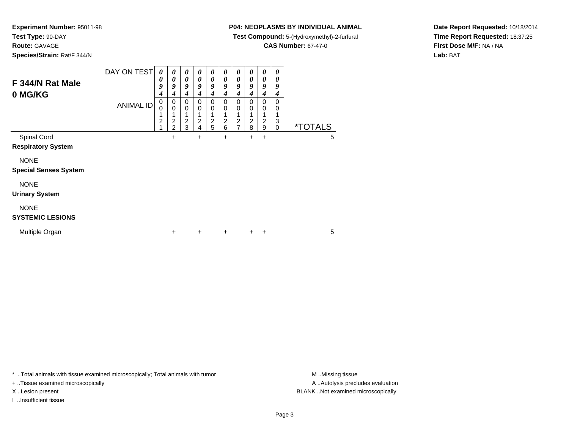**Test Type:** 90-DAY

**Route:** GAVAGE

**Species/Strain:** Rat/F 344/N

## **P04: NEOPLASMS BY INDIVIDUAL ANIMAL**

**Test Compound:** 5-(Hydroxymethyl)-2-furfural

**CAS Number:** 67-47-0

**Date Report Requested:** 10/18/2014**Time Report Requested:** 18:37:25**First Dose M/F:** NA / NA**Lab:** BAT

| F 344/N Rat Male<br>0 MG/KG                 | DAY ON TEST<br><b>ANIMAL ID</b> | 0<br>0<br>9<br>4<br>0<br>0<br>1<br>$\overline{c}$<br>1 | 0<br>0<br>9<br>4<br>0<br>$\Omega$<br>$\overline{c}$<br>$\mathcal{P}$ | 0<br>$\boldsymbol{\theta}$<br>9<br>4<br>0<br>$\mathbf 0$<br>1<br>$\overline{2}$<br>3 | 0<br>0<br>9<br>4<br>0<br>$\mathbf 0$<br>1<br>$\overline{2}$<br>4 | 0<br>0<br>9<br>4<br>0<br>0<br>1<br>$\boldsymbol{2}$<br>5 | 0<br>0<br>9<br>4<br>$\Omega$<br>0<br>1<br>$\boldsymbol{2}$<br>6 | 0<br>0<br>9<br>4<br>0<br>0<br>1<br>$\frac{2}{7}$ | $\boldsymbol{\theta}$<br>0<br>9<br>4<br>0<br>$\mathbf 0$<br>1<br>$\overline{c}$<br>8 | $\boldsymbol{\theta}$<br>0<br>9<br>4<br>0<br>$\mathbf 0$<br>$\overline{c}$<br>9 | 0<br>0<br>9<br>$\boldsymbol{4}$<br>$\Omega$<br>0<br>1<br>3<br>$\mathbf 0$ | <i><b>*TOTALS</b></i> |   |
|---------------------------------------------|---------------------------------|--------------------------------------------------------|----------------------------------------------------------------------|--------------------------------------------------------------------------------------|------------------------------------------------------------------|----------------------------------------------------------|-----------------------------------------------------------------|--------------------------------------------------|--------------------------------------------------------------------------------------|---------------------------------------------------------------------------------|---------------------------------------------------------------------------|-----------------------|---|
| Spinal Cord                                 |                                 |                                                        | +                                                                    |                                                                                      | $+$                                                              |                                                          | $\ddot{}$                                                       |                                                  | +                                                                                    | +                                                                               |                                                                           |                       | 5 |
| <b>Respiratory System</b>                   |                                 |                                                        |                                                                      |                                                                                      |                                                                  |                                                          |                                                                 |                                                  |                                                                                      |                                                                                 |                                                                           |                       |   |
| <b>NONE</b><br><b>Special Senses System</b> |                                 |                                                        |                                                                      |                                                                                      |                                                                  |                                                          |                                                                 |                                                  |                                                                                      |                                                                                 |                                                                           |                       |   |
| <b>NONE</b><br><b>Urinary System</b>        |                                 |                                                        |                                                                      |                                                                                      |                                                                  |                                                          |                                                                 |                                                  |                                                                                      |                                                                                 |                                                                           |                       |   |
| <b>NONE</b>                                 |                                 |                                                        |                                                                      |                                                                                      |                                                                  |                                                          |                                                                 |                                                  |                                                                                      |                                                                                 |                                                                           |                       |   |
| <b>SYSTEMIC LESIONS</b>                     |                                 |                                                        |                                                                      |                                                                                      |                                                                  |                                                          |                                                                 |                                                  |                                                                                      |                                                                                 |                                                                           |                       |   |
| Multiple Organ                              |                                 |                                                        | $\pm$                                                                |                                                                                      | $\ddot{}$                                                        |                                                          | $\ddot{}$                                                       |                                                  | $\pm$                                                                                | ÷                                                                               |                                                                           |                       | 5 |

\* ..Total animals with tissue examined microscopically; Total animals with tumor **M** . Missing tissue M ..Missing tissue

+ ..Tissue examined microscopically

I ..Insufficient tissue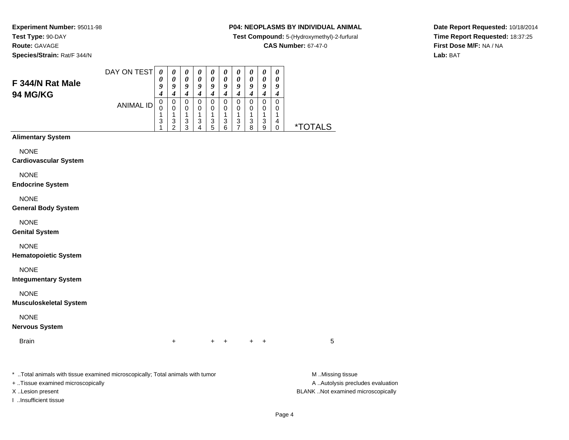**Species/Strain:** Rat/F 344/N

## **P04: NEOPLASMS BY INDIVIDUAL ANIMAL**

**Test Compound:** 5-(Hydroxymethyl)-2-furfural

**CAS Number:** 67-47-0

**Date Report Requested:** 10/18/2014**Time Report Requested:** 18:37:25**First Dose M/F:** NA / NA**Lab:** BAT

| F 344/N Rat Male                                                                                                    | DAY ON TEST      | 0<br>0<br>9                                                   | 0<br>$\boldsymbol{\theta}$<br>9                                                        | 0<br>0<br>9                                                               | 0<br>0<br>$\boldsymbol{9}$                                     | 0<br>$\pmb{\theta}$<br>$\boldsymbol{9}$             | 0<br>0<br>9                                                               | $\boldsymbol{\theta}$<br>$\boldsymbol{\theta}$<br>9                       | $\boldsymbol{\theta}$<br>$\boldsymbol{\theta}$<br>9           | 0<br>$\pmb{\theta}$<br>9                                                                 | 0<br>0<br>9                                       |                                        |
|---------------------------------------------------------------------------------------------------------------------|------------------|---------------------------------------------------------------|----------------------------------------------------------------------------------------|---------------------------------------------------------------------------|----------------------------------------------------------------|-----------------------------------------------------|---------------------------------------------------------------------------|---------------------------------------------------------------------------|---------------------------------------------------------------|------------------------------------------------------------------------------------------|---------------------------------------------------|----------------------------------------|
| 94 MG/KG                                                                                                            | <b>ANIMAL ID</b> | $\boldsymbol{4}$<br>$\mathbf 0$<br>$\mathbf 0$<br>1<br>3<br>1 | $\boldsymbol{4}$<br>$\pmb{0}$<br>0<br>1<br>$\ensuremath{\mathsf{3}}$<br>$\overline{2}$ | $\boldsymbol{4}$<br>$\pmb{0}$<br>0<br>1<br>$\ensuremath{\mathsf{3}}$<br>3 | $\boldsymbol{4}$<br>$\mathbf 0$<br>0<br>1<br>$\mathbf{3}$<br>4 | $\boldsymbol{4}$<br>$\mathbf 0$<br>0<br>1<br>3<br>5 | $\boldsymbol{4}$<br>$\pmb{0}$<br>0<br>1<br>$\ensuremath{\mathsf{3}}$<br>6 | $\boldsymbol{4}$<br>$\pmb{0}$<br>0<br>1<br>$\mathbf{3}$<br>$\overline{7}$ | $\boldsymbol{4}$<br>$\mathbf 0$<br>$\mathbf 0$<br>1<br>3<br>8 | $\boldsymbol{4}$<br>$\pmb{0}$<br>0<br>1<br>$\ensuremath{\mathsf{3}}$<br>$\boldsymbol{9}$ | $\boldsymbol{4}$<br>$\pmb{0}$<br>0<br>1<br>4<br>0 | <i><b>*TOTALS</b></i>                  |
| <b>Alimentary System</b>                                                                                            |                  |                                                               |                                                                                        |                                                                           |                                                                |                                                     |                                                                           |                                                                           |                                                               |                                                                                          |                                                   |                                        |
| <b>NONE</b><br><b>Cardiovascular System</b>                                                                         |                  |                                                               |                                                                                        |                                                                           |                                                                |                                                     |                                                                           |                                                                           |                                                               |                                                                                          |                                                   |                                        |
| <b>NONE</b><br><b>Endocrine System</b>                                                                              |                  |                                                               |                                                                                        |                                                                           |                                                                |                                                     |                                                                           |                                                                           |                                                               |                                                                                          |                                                   |                                        |
| <b>NONE</b><br><b>General Body System</b>                                                                           |                  |                                                               |                                                                                        |                                                                           |                                                                |                                                     |                                                                           |                                                                           |                                                               |                                                                                          |                                                   |                                        |
| <b>NONE</b><br><b>Genital System</b>                                                                                |                  |                                                               |                                                                                        |                                                                           |                                                                |                                                     |                                                                           |                                                                           |                                                               |                                                                                          |                                                   |                                        |
| <b>NONE</b><br><b>Hematopoietic System</b>                                                                          |                  |                                                               |                                                                                        |                                                                           |                                                                |                                                     |                                                                           |                                                                           |                                                               |                                                                                          |                                                   |                                        |
| <b>NONE</b><br><b>Integumentary System</b>                                                                          |                  |                                                               |                                                                                        |                                                                           |                                                                |                                                     |                                                                           |                                                                           |                                                               |                                                                                          |                                                   |                                        |
| <b>NONE</b><br><b>Musculoskeletal System</b>                                                                        |                  |                                                               |                                                                                        |                                                                           |                                                                |                                                     |                                                                           |                                                                           |                                                               |                                                                                          |                                                   |                                        |
| <b>NONE</b><br><b>Nervous System</b>                                                                                |                  |                                                               |                                                                                        |                                                                           |                                                                |                                                     |                                                                           |                                                                           |                                                               |                                                                                          |                                                   |                                        |
| <b>Brain</b>                                                                                                        |                  |                                                               | $\ddot{}$                                                                              |                                                                           |                                                                | +                                                   | $+$                                                                       |                                                                           | $\ddot{}$                                                     | $\ddot{}$                                                                                |                                                   | 5                                      |
| * Total animals with tissue examined microscopically; Total animals with tumor<br>+ Tissue examined microscopically |                  |                                                               |                                                                                        |                                                                           |                                                                |                                                     |                                                                           |                                                                           |                                                               |                                                                                          |                                                   | M.Missing tissue<br>A Autolysis preclu |

I ..Insufficient tissue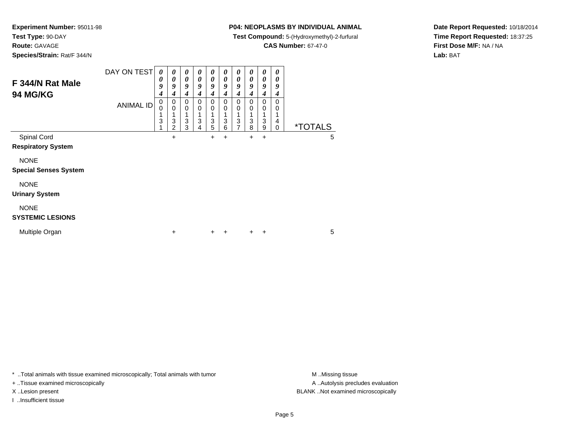**Route:** GAVAGE

**Species/Strain:** Rat/F 344/N

## **P04: NEOPLASMS BY INDIVIDUAL ANIMAL**

**Test Compound:** 5-(Hydroxymethyl)-2-furfural

**CAS Number:** 67-47-0

**Date Report Requested:** 10/18/2014**Time Report Requested:** 18:37:25**First Dose M/F:** NA / NA**Lab:** BAT

| F 344/N Rat Male<br><b>94 MG/KG</b>         | DAY ON TEST<br><b>ANIMAL ID</b> | $\boldsymbol{\theta}$<br>0<br>9<br>4<br>0<br>0 | 0<br>0<br>9<br>4<br>0<br>0 | 0<br>$\boldsymbol{\theta}$<br>9<br>4<br>0<br>0 | 0<br>0<br>9<br>4<br>0<br>0<br>1 | 0<br>0<br>9<br>4<br>0<br>0 | 0<br>0<br>9<br>4<br>0<br>0 | 0<br>0<br>9<br>4<br>0<br>0 | 0<br>0<br>9<br>4<br>0<br>0 | 0<br>0<br>9<br>4<br>0<br>0 | 0<br>0<br>9<br>4<br>0<br>0 |                       |   |
|---------------------------------------------|---------------------------------|------------------------------------------------|----------------------------|------------------------------------------------|---------------------------------|----------------------------|----------------------------|----------------------------|----------------------------|----------------------------|----------------------------|-----------------------|---|
|                                             |                                 | 3                                              | 3<br>$\overline{2}$        | 3<br>3                                         | 3<br>4                          | 3<br>5                     | 3<br>6                     | 3<br>$\overline{ }$        | $\frac{3}{8}$              | 3<br>9                     | 4<br>$\Omega$              | <i><b>*TOTALS</b></i> |   |
| Spinal Cord<br><b>Respiratory System</b>    |                                 |                                                | $\ddot{}$                  |                                                |                                 | $\ddot{}$                  | $\ddot{}$                  |                            | $\ddot{}$                  | $\ddot{}$                  |                            |                       | 5 |
| <b>NONE</b><br><b>Special Senses System</b> |                                 |                                                |                            |                                                |                                 |                            |                            |                            |                            |                            |                            |                       |   |
| <b>NONE</b><br><b>Urinary System</b>        |                                 |                                                |                            |                                                |                                 |                            |                            |                            |                            |                            |                            |                       |   |
| <b>NONE</b><br><b>SYSTEMIC LESIONS</b>      |                                 |                                                |                            |                                                |                                 |                            |                            |                            |                            |                            |                            |                       |   |
| Multiple Organ                              |                                 |                                                | +                          |                                                |                                 | +                          | $\ddot{}$                  |                            | $\pm$                      | +                          |                            |                       | 5 |

\* ..Total animals with tissue examined microscopically; Total animals with tumor **M** . Missing tissue M ..Missing tissue

+ ..Tissue examined microscopically

I ..Insufficient tissue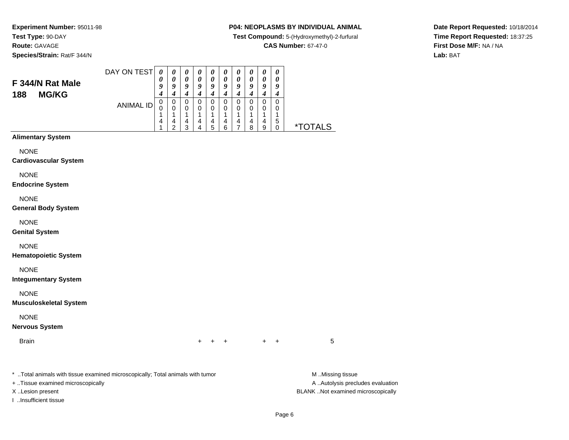**Species/Strain:** Rat/F 344/N

## **P04: NEOPLASMS BY INDIVIDUAL ANIMAL**

**Test Compound:** 5-(Hydroxymethyl)-2-furfural

**CAS Number:** 67-47-0

**Date Report Requested:** 10/18/2014**Time Report Requested:** 18:37:25**First Dose M/F:** NA / NA**Lab:** BAT

#### **F 344/N Rat Male188 MG/KG**ANIMAL ID *0 9 4* 0 0 1 4 1 *0 9 4* 0 0 1 4 2 *0 9 4* 0 0 1 4 3 *0 9 4* 0 0 1 4 4 *0 9 4* 0 0 1 4 5 *0 9 4* 0 0 1 4 6 *0 9 4* 0 0 1 4 7 *0 9 4* 0 0 1 4 8 *0 9 4* 0 0 1 4 9 *0 9 4* 0 0 1 5 $\check{\mathrm{o}}$ 0 \*TOTALS**Alimentary SystemNONE Cardiovascular System**NONE **Endocrine System**NONE **General Body System**NONE **Genital System**NONE **Hematopoietic System**NONE **Integumentary System**NONE **Musculoskeletal System**NONE **Nervous SystemBrain** n  $+$ <sup>+</sup> <sup>+</sup> <sup>+</sup> <sup>+</sup> <sup>5</sup>

\* ..Total animals with tissue examined microscopically; Total animals with tumor **M** ..Missing tissue M ..Missing tissue

DAY ON TEST

*0*

*0*

*0*

*0*

*0*

*0*

*0*

*0*

*0*

*0*

+ ..Tissue examined microscopically

I ..Insufficient tissue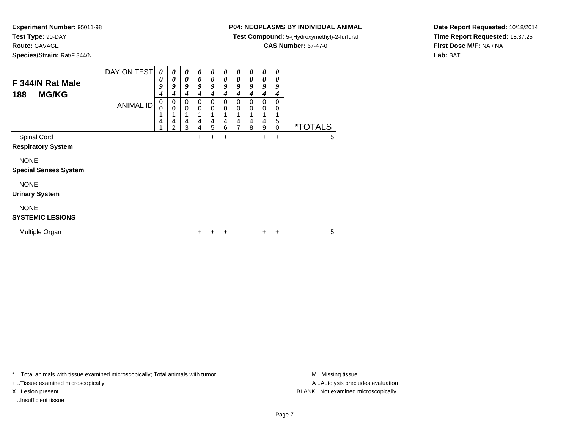**Route:** GAVAGE

**Species/Strain:** Rat/F 344/N

## **P04: NEOPLASMS BY INDIVIDUAL ANIMAL**

**Test Compound:** 5-(Hydroxymethyl)-2-furfural

**CAS Number:** 67-47-0

**Date Report Requested:** 10/18/2014**Time Report Requested:** 18:37:25**First Dose M/F:** NA / NA**Lab:** BAT

| F 344/N Rat Male<br><b>MG/KG</b><br>188     | DAY ON TEST      | 0<br>0<br>9<br>4 | 0<br>0<br>9<br>4                                          | 0<br>0<br>9<br>4 | 0<br>$\boldsymbol{\theta}$<br>9<br>4 | 0<br>0<br>9<br>4 | $\boldsymbol{\theta}$<br>$\boldsymbol{\theta}$<br>9<br>4 | 0<br>0<br>9<br>4   | 0<br>0<br>9<br>4 | 0<br>0<br>9<br>4 | 0<br>0<br>9<br>4        |                       |  |
|---------------------------------------------|------------------|------------------|-----------------------------------------------------------|------------------|--------------------------------------|------------------|----------------------------------------------------------|--------------------|------------------|------------------|-------------------------|-----------------------|--|
|                                             | <b>ANIMAL ID</b> | 0<br>0<br>4      | 0<br>$\mathbf 0$<br>1<br>$\overline{4}$<br>$\overline{2}$ | 0<br>0<br>4<br>3 | 0<br>0<br>$\overline{4}$<br>4        | 0<br>0<br>4<br>5 | 0<br>0<br>4<br>6                                         | $\Omega$<br>0<br>4 | 0<br>0<br>4<br>8 | 0<br>0<br>4<br>9 | $\Omega$<br>0<br>5<br>0 | <i><b>*TOTALS</b></i> |  |
| Spinal Cord<br><b>Respiratory System</b>    |                  |                  |                                                           |                  | +                                    | $\ddot{}$        | $\ddot{}$                                                |                    |                  | $\pm$            | $\ddot{}$               | 5                     |  |
| <b>NONE</b><br><b>Special Senses System</b> |                  |                  |                                                           |                  |                                      |                  |                                                          |                    |                  |                  |                         |                       |  |
| <b>NONE</b><br><b>Urinary System</b>        |                  |                  |                                                           |                  |                                      |                  |                                                          |                    |                  |                  |                         |                       |  |
| <b>NONE</b><br><b>SYSTEMIC LESIONS</b>      |                  |                  |                                                           |                  |                                      |                  |                                                          |                    |                  |                  |                         |                       |  |
| Multiple Organ                              |                  |                  |                                                           |                  | +                                    |                  | +                                                        |                    |                  | ٠                | +                       | 5                     |  |

\* ..Total animals with tissue examined microscopically; Total animals with tumor **M** . Missing tissue M ..Missing tissue

+ ..Tissue examined microscopically

I ..Insufficient tissue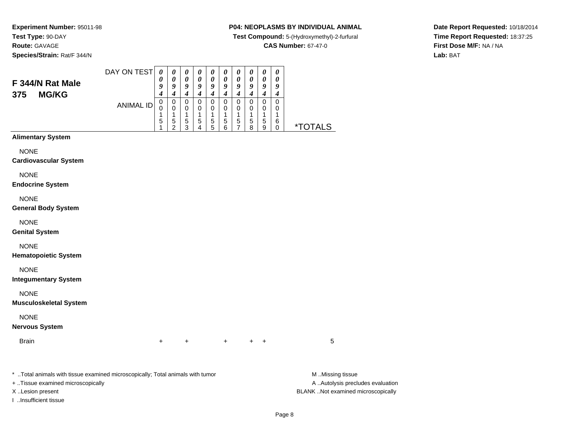**Species/Strain:** Rat/F 344/N

## **P04: NEOPLASMS BY INDIVIDUAL ANIMAL**

**Test Compound:** 5-(Hydroxymethyl)-2-furfural

**CAS Number:** 67-47-0

**Date Report Requested:** 10/18/2014**Time Report Requested:** 18:37:25**First Dose M/F:** NA / NA**Lab:** BAT

#### **F 344/N Rat Male375 MG/KG**ANIMAL ID *0 9 4* 0 0 1 5 1 *0 9 4* 0 0 1 5 2*0 0 9 4* 0 0 1 5 3 *0 9 4* 0 0 1 5 4 *0 9 4* 0 0 1 5 5 *0 9 4* 0 0 1 5 6 *0 9 4* 0 0 1 5 7 *0 9 4* 0 0 1 5 8 *0 9 4* 0 0 1 5 9 *0 9 4* 0 0 16<br>^ 0 \*TOTALS**Alimentary SystemNONE Cardiovascular System**NONE **Endocrine System**NONE **General Body System**NONE **Genital System**NONE **Hematopoietic System**NONE **Integumentary System**NONE **Musculoskeletal System**NONE **Nervous SystemBrain** n  $+$ <sup>+</sup> <sup>+</sup> <sup>+</sup> <sup>+</sup> <sup>5</sup>

\* ..Total animals with tissue examined microscopically; Total animals with tumor **M** ..Missing tissue M ..Missing tissue

DAY ON TEST

*0*

*0*

*0*

*0*

*0*

*0*

*0*

*0*

*0*

+ ..Tissue examined microscopically

I ..Insufficient tissue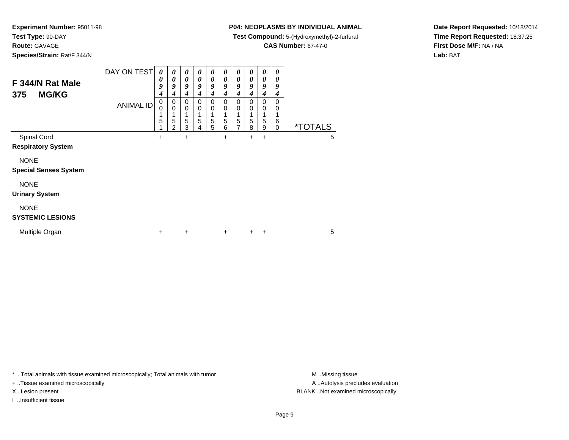**Route:** GAVAGE

**Species/Strain:** Rat/F 344/N

## **P04: NEOPLASMS BY INDIVIDUAL ANIMAL**

**Test Compound:** 5-(Hydroxymethyl)-2-furfural

**CAS Number:** 67-47-0

**Date Report Requested:** 10/18/2014**Time Report Requested:** 18:37:25**First Dose M/F:** NA / NA**Lab:** BAT

| F 344/N Rat Male<br><b>MG/KG</b><br>375     | DAY ON TEST<br><b>ANIMAL ID</b> | 0<br>0<br>9<br>4<br>0<br>0<br>1<br>5<br>1 | 0<br>$\boldsymbol{\theta}$<br>$\boldsymbol{g}$<br>4<br>0<br>$\mathbf 0$<br>1<br>5<br>$\mathfrak{p}$ | 0<br>$\boldsymbol{\theta}$<br>9<br>4<br>0<br>0<br>1<br>5<br>3 | 0<br>0<br>9<br>4<br>0<br>0<br>5<br>4 | $\boldsymbol{\theta}$<br>$\boldsymbol{\theta}$<br>9<br>4<br>$\Omega$<br>0<br>5<br>5 | 0<br>0<br>9<br>4<br>$\Omega$<br>0<br>1<br>5<br>6 | 0<br>0<br>9<br>4<br>0<br>0<br>1<br>5<br>7 | 0<br>0<br>9<br>4<br>$\Omega$<br>0<br>1<br>5<br>8 | 0<br>0<br>9<br>4<br>0<br>0<br>1<br>5<br>9 | 0<br>0<br>9<br>4<br>0<br>0<br>1<br>6<br>$\Omega$ | <i><b>*TOTALS</b></i> |   |
|---------------------------------------------|---------------------------------|-------------------------------------------|-----------------------------------------------------------------------------------------------------|---------------------------------------------------------------|--------------------------------------|-------------------------------------------------------------------------------------|--------------------------------------------------|-------------------------------------------|--------------------------------------------------|-------------------------------------------|--------------------------------------------------|-----------------------|---|
| Spinal Cord                                 |                                 | +                                         |                                                                                                     | $\ddot{}$                                                     |                                      |                                                                                     | $\ddot{}$                                        |                                           | +                                                | $\ddot{}$                                 |                                                  |                       | 5 |
| <b>Respiratory System</b>                   |                                 |                                           |                                                                                                     |                                                               |                                      |                                                                                     |                                                  |                                           |                                                  |                                           |                                                  |                       |   |
| <b>NONE</b><br><b>Special Senses System</b> |                                 |                                           |                                                                                                     |                                                               |                                      |                                                                                     |                                                  |                                           |                                                  |                                           |                                                  |                       |   |
| <b>NONE</b>                                 |                                 |                                           |                                                                                                     |                                                               |                                      |                                                                                     |                                                  |                                           |                                                  |                                           |                                                  |                       |   |
| <b>Urinary System</b>                       |                                 |                                           |                                                                                                     |                                                               |                                      |                                                                                     |                                                  |                                           |                                                  |                                           |                                                  |                       |   |
| <b>NONE</b><br><b>SYSTEMIC LESIONS</b>      |                                 |                                           |                                                                                                     |                                                               |                                      |                                                                                     |                                                  |                                           |                                                  |                                           |                                                  |                       |   |
| Multiple Organ                              |                                 | +                                         |                                                                                                     | $\ddot{}$                                                     |                                      |                                                                                     | $\ddot{}$                                        |                                           | $\ddot{}$                                        | $\ddot{}$                                 |                                                  |                       | 5 |

\* ..Total animals with tissue examined microscopically; Total animals with tumor **M** . Missing tissue M ..Missing tissue

+ ..Tissue examined microscopically

I ..Insufficient tissue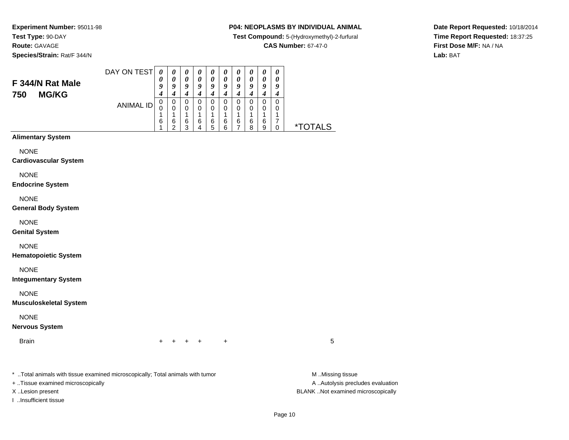**Species/Strain:** Rat/F 344/N

## **P04: NEOPLASMS BY INDIVIDUAL ANIMAL**

**Test Compound:** 5-(Hydroxymethyl)-2-furfural

**CAS Number:** 67-47-0

**Date Report Requested:** 10/18/2014**Time Report Requested:** 18:37:25**First Dose M/F:** NA / NA**Lab:** BAT

#### DAY ON TEST**F 344/N Rat Male750 MG/KG**ANIMAL ID*0 0 9 4* 0 0 1 6 1*0 0 9 4* 0 0 1 6 2*0 0 9 4* 0 0 1 6 3*0 0 9 4* 0 0 1 6 4*0 0 9 4* 0 0 1 6 5*0 0 9 4* 0 0 1 6 6*0 0 9 4* 0 0 1 6 7*0 0 9 4* 0 0 1 6 8*0 0 9 4* 0 0 1 6 9*0 0 9 4* 0 0 1 7 $\dot{0}$ 0 \*TOTALS

## **Alimentary System**

**NONE** 

#### **Cardiovascular System**

NONE

#### **Endocrine System**

NONE

### **General Body System**

NONE

### **Genital System**

NONE

### **Hematopoietic System**

NONE

### **Integumentary System**

NONE

## **Musculoskeletal System**

NONE

## **Nervous System**

**Brain** n  $+$ 

<sup>+</sup> <sup>+</sup> <sup>+</sup> <sup>+</sup> <sup>5</sup>

\* ..Total animals with tissue examined microscopically; Total animals with tumor **M** ..Missing tissue M ..Missing tissue

+ ..Tissue examined microscopically

I ..Insufficient tissue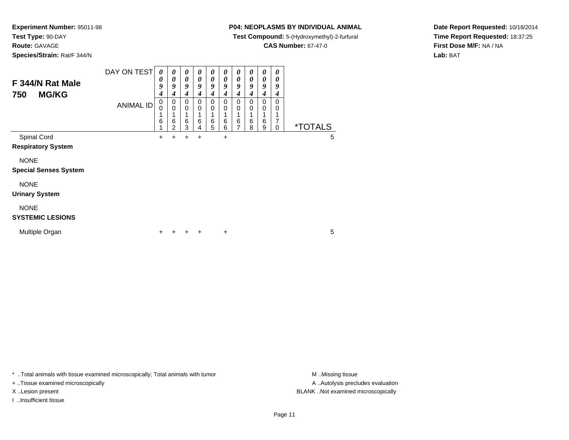**Route:** GAVAGE

**Species/Strain:** Rat/F 344/N

## **P04: NEOPLASMS BY INDIVIDUAL ANIMAL**

**Test Compound:** 5-(Hydroxymethyl)-2-furfural

**CAS Number:** 67-47-0

**Date Report Requested:** 10/18/2014**Time Report Requested:** 18:37:25**First Dose M/F:** NA / NA**Lab:** BAT

| F 344/N Rat Male<br><b>MG/KG</b><br>750     | DAY ON TEST      | 0<br>0<br>9<br>4 | 0<br>0<br>9<br>4                        | 0<br>0<br>9<br>4 | 0<br>$\boldsymbol{\theta}$<br>9<br>4 | 0<br>$\boldsymbol{\theta}$<br>9<br>4 | 0<br>$\boldsymbol{\theta}$<br>9<br>4 | 0<br>0<br>9<br>4                        | 0<br>$\boldsymbol{\theta}$<br>9<br>4 | 0<br>0<br>9<br>4                | 0<br>$\boldsymbol{\theta}$<br>9<br>4 |                       |
|---------------------------------------------|------------------|------------------|-----------------------------------------|------------------|--------------------------------------|--------------------------------------|--------------------------------------|-----------------------------------------|--------------------------------------|---------------------------------|--------------------------------------|-----------------------|
|                                             | <b>ANIMAL ID</b> | 0<br>0<br>6      | 0<br>$\mathbf 0$<br>6<br>$\mathfrak{p}$ | 0<br>0<br>6<br>3 | $\mathbf 0$<br>$\mathbf 0$<br>6<br>4 | 0<br>$\Omega$<br>6<br>5              | 0<br>0<br>1<br>6<br>6                | $\mathbf 0$<br>0<br>6<br>$\overline{7}$ | 0<br>0<br>6<br>8                     | $\mathbf 0$<br>0<br>1<br>6<br>9 | 0<br>0<br>$\overline{7}$<br>0        | <i><b>*TOTALS</b></i> |
| Spinal Cord<br><b>Respiratory System</b>    |                  | $\pm$            | +                                       | +                | $\ddot{}$                            |                                      | $\ddot{}$                            |                                         |                                      |                                 |                                      | 5                     |
| <b>NONE</b><br><b>Special Senses System</b> |                  |                  |                                         |                  |                                      |                                      |                                      |                                         |                                      |                                 |                                      |                       |
| <b>NONE</b><br><b>Urinary System</b>        |                  |                  |                                         |                  |                                      |                                      |                                      |                                         |                                      |                                 |                                      |                       |
| <b>NONE</b><br><b>SYSTEMIC LESIONS</b>      |                  |                  |                                         |                  |                                      |                                      |                                      |                                         |                                      |                                 |                                      |                       |
| Multiple Organ                              |                  | ٠                |                                         |                  | ÷                                    |                                      | $\ddot{}$                            |                                         |                                      |                                 |                                      | 5                     |

\* ..Total animals with tissue examined microscopically; Total animals with tumor **M** . Missing tissue M ..Missing tissue

+ ..Tissue examined microscopically

I ..Insufficient tissue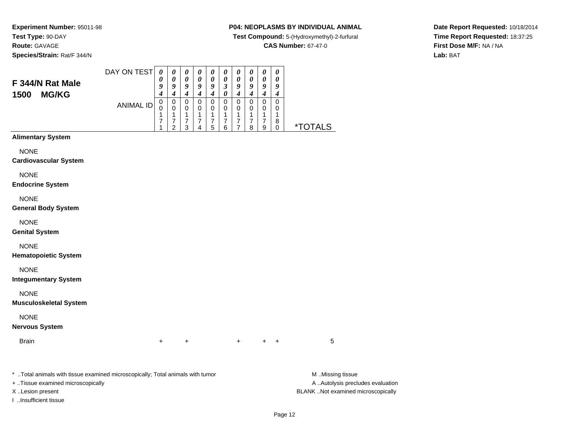**Experiment Number:** 95011-98**Test Type:** 90-DAY**Route:** GAVAGE**Species/Strain:** Rat/F 344/N

## **P04: NEOPLASMS BY INDIVIDUAL ANIMAL**

**Test Compound:** 5-(Hydroxymethyl)-2-furfural

**CAS Number:** 67-47-0

**Date Report Requested:** 10/18/2014**Time Report Requested:** 18:37:25**First Dose M/F:** NA / NA**Lab:** BAT

# **F 344/N Rat Male1500 MG/KG**

| DAY ON TEST      | 0 | 0 | 0 | $\theta$ | 0 | 0 | 0 | 0 | 0 | 0 |      |
|------------------|---|---|---|----------|---|---|---|---|---|---|------|
|                  | 0 | 0 | 0 | 0        | 0 | 0 | 0 | 0 | 0 | 0 |      |
|                  | 9 | 9 | 9 | 9        | 9 | 3 | 9 | 9 | 9 | 9 |      |
|                  | 4 |   | 4 | 4        | 4 | 0 | 4 | 4 | 4 | 4 |      |
| <b>ANIMAL ID</b> | 0 | 0 | 0 | 0        | 0 | 0 | 0 | 0 | 0 | 0 |      |
|                  | O | 0 | 0 | 0        | 0 | 0 | 0 | 0 | 0 | 0 |      |
|                  | 1 |   | 1 | и        | 4 | 4 | и | и | 4 | ◢ |      |
|                  | 7 |   |   |          | 7 |   |   | 7 | 7 | 8 | *"   |
|                  | 4 | ົ | З |          | 5 | 6 | 7 | 8 | 9 | 0 | TALS |
|                  |   |   |   |          |   |   |   |   |   |   |      |
|                  |   |   |   |          |   |   |   |   |   |   |      |

## **Alimentary System**

NONE

#### **Cardiovascular System**

NONE

#### **Endocrine System**

NONE

### **General Body System**

NONE

## **Genital System**

NONE

### **Hematopoietic System**

NONE

## **Integumentary System**

NONE

## **Musculoskeletal System**

NONE

## **Nervous System**

Brainn  $+$ 

\* ..Total animals with tissue examined microscopically; Total animals with tumor **M** ..Missing tissue M ..Missing tissue

+ ..Tissue examined microscopically

I ..Insufficient tissue

A .. Autolysis precludes evaluation X ..Lesion present BLANK ..Not examined microscopically

<sup>+</sup> <sup>+</sup> <sup>+</sup> <sup>+</sup> <sup>5</sup>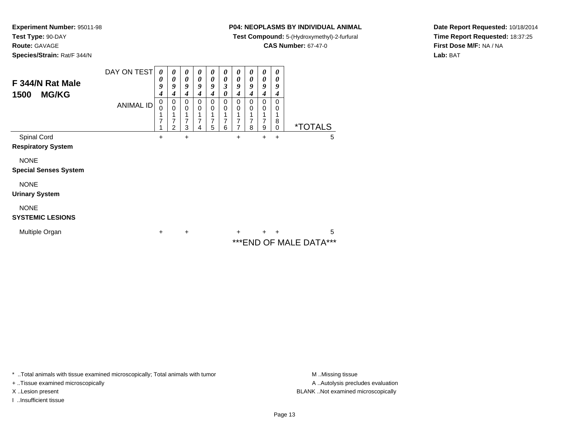**Route:** GAVAGE

**Species/Strain:** Rat/F 344/N

## **P04: NEOPLASMS BY INDIVIDUAL ANIMAL**

**Test Compound:** 5-(Hydroxymethyl)-2-furfural

**CAS Number:** 67-47-0

**Date Report Requested:** 10/18/2014**Time Report Requested:** 18:37:25**First Dose M/F:** NA / NA**Lab:** BAT

| F 344/N Rat Male<br><b>MG/KG</b><br>1500    | DAY ON TEST<br><b>ANIMAL ID</b> | 0<br>0<br>9<br>4<br>0<br>0<br>7 | 0<br>$\boldsymbol{\theta}$<br>9<br>4<br>0<br>$\Omega$<br>7<br>2 | $\boldsymbol{\theta}$<br>0<br>9<br>4<br>0<br>0<br>7<br>3 | 0<br>$\boldsymbol{\theta}$<br>9<br>4<br>0<br>0 | 0<br>0<br>9<br>4<br>0<br>0<br>1<br>7<br>5 | 0<br>0<br>3<br>0<br>0<br>0<br>7<br>6 | 0<br>0<br>9<br>4<br>0<br>0<br>7<br>7 | 0<br>$\boldsymbol{\theta}$<br>9<br>4<br>0<br>0<br>7<br>8 | 0<br>0<br>9<br>4<br>0<br>0<br>7<br>9 | 0<br>0<br>9<br>4<br>0<br>0<br>8<br>0 |                         | <i><b>*TOTALS</b></i> |   |
|---------------------------------------------|---------------------------------|---------------------------------|-----------------------------------------------------------------|----------------------------------------------------------|------------------------------------------------|-------------------------------------------|--------------------------------------|--------------------------------------|----------------------------------------------------------|--------------------------------------|--------------------------------------|-------------------------|-----------------------|---|
| Spinal Cord<br><b>Respiratory System</b>    |                                 | +                               |                                                                 | $\ddot{}$                                                |                                                |                                           |                                      | $\ddot{}$                            |                                                          | +                                    | $\ddot{}$                            |                         |                       | 5 |
| <b>NONE</b><br><b>Special Senses System</b> |                                 |                                 |                                                                 |                                                          |                                                |                                           |                                      |                                      |                                                          |                                      |                                      |                         |                       |   |
| <b>NONE</b><br><b>Urinary System</b>        |                                 |                                 |                                                                 |                                                          |                                                |                                           |                                      |                                      |                                                          |                                      |                                      |                         |                       |   |
| <b>NONE</b><br><b>SYSTEMIC LESIONS</b>      |                                 |                                 |                                                                 |                                                          |                                                |                                           |                                      |                                      |                                                          |                                      |                                      |                         |                       |   |
| Multiple Organ                              |                                 | +                               |                                                                 | $\ddot{}$                                                |                                                |                                           |                                      | $\pm$                                |                                                          | $\pm$                                | ٠                                    | *** END OF MALE DATA*** |                       | 5 |

\* ..Total animals with tissue examined microscopically; Total animals with tumor **M** . Missing tissue M ..Missing tissue

+ ..Tissue examined microscopically

I ..Insufficient tissue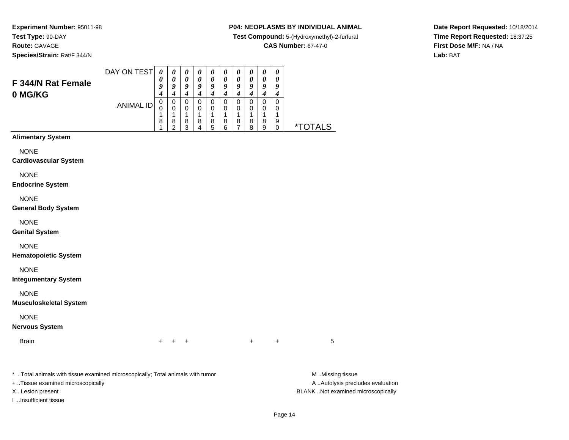**Route:** GAVAGE

**Species/Strain:** Rat/F 344/N

## **P04: NEOPLASMS BY INDIVIDUAL ANIMAL**

**Test Compound:** 5-(Hydroxymethyl)-2-furfural

**CAS Number:** 67-47-0

**Date Report Requested:** 10/18/2014**Time Report Requested:** 18:37:25**First Dose M/F:** NA / NA**Lab:** BAT

| F 344/N Rat Female                           | DAY ON TEST      | $\boldsymbol{\theta}$<br>0<br>9                | $\boldsymbol{\theta}$<br>0<br>9                                    | $\boldsymbol{\theta}$<br>0<br>9                                        | $\boldsymbol{\theta}$<br>$\boldsymbol{\theta}$<br>9                        | $\boldsymbol{\theta}$<br>$\boldsymbol{\theta}$<br>9                      | 0<br>0<br>9                                                                    | 0<br>0<br>9                                                        | $\boldsymbol{\theta}$<br>0<br>9                                        | $\boldsymbol{\theta}$<br>$\boldsymbol{\theta}$<br>9           | $\pmb{\theta}$<br>0<br>9                                                      |                       |
|----------------------------------------------|------------------|------------------------------------------------|--------------------------------------------------------------------|------------------------------------------------------------------------|----------------------------------------------------------------------------|--------------------------------------------------------------------------|--------------------------------------------------------------------------------|--------------------------------------------------------------------|------------------------------------------------------------------------|---------------------------------------------------------------|-------------------------------------------------------------------------------|-----------------------|
| 0 MG/KG                                      | <b>ANIMAL ID</b> | 4<br>$\mathbf 0$<br>$\mathbf 0$<br>1<br>8<br>1 | $\boldsymbol{4}$<br>$\pmb{0}$<br>$\mathbf 0$<br>1<br>$\frac{8}{2}$ | $\boldsymbol{4}$<br>$\pmb{0}$<br>$\mathbf 0$<br>$\mathbf{1}$<br>$^8_3$ | $\boldsymbol{4}$<br>$\mathsf 0$<br>$\mathbf 0$<br>1<br>8<br>$\overline{4}$ | $\boldsymbol{4}$<br>$\mathsf 0$<br>$\mathbf 0$<br>$\mathbf{1}$<br>8<br>5 | $\boldsymbol{4}$<br>$\pmb{0}$<br>$\mathbf 0$<br>1<br>$\bf 8$<br>$6\phantom{a}$ | $\boldsymbol{4}$<br>$\pmb{0}$<br>$\mathbf 0$<br>1<br>$\frac{8}{7}$ | $\boldsymbol{4}$<br>$\pmb{0}$<br>$\mathbf 0$<br>$\mathbf{1}$<br>8<br>8 | $\boldsymbol{4}$<br>$\mathsf 0$<br>$\mathbf 0$<br>1<br>8<br>9 | $\boldsymbol{4}$<br>$\pmb{0}$<br>$\mathbf 0$<br>$\mathbf{1}$<br>9<br>$\Omega$ | <i><b>*TOTALS</b></i> |
| <b>Alimentary System</b>                     |                  |                                                |                                                                    |                                                                        |                                                                            |                                                                          |                                                                                |                                                                    |                                                                        |                                                               |                                                                               |                       |
| <b>NONE</b><br><b>Cardiovascular System</b>  |                  |                                                |                                                                    |                                                                        |                                                                            |                                                                          |                                                                                |                                                                    |                                                                        |                                                               |                                                                               |                       |
| <b>NONE</b><br><b>Endocrine System</b>       |                  |                                                |                                                                    |                                                                        |                                                                            |                                                                          |                                                                                |                                                                    |                                                                        |                                                               |                                                                               |                       |
| <b>NONE</b><br><b>General Body System</b>    |                  |                                                |                                                                    |                                                                        |                                                                            |                                                                          |                                                                                |                                                                    |                                                                        |                                                               |                                                                               |                       |
| <b>NONE</b><br><b>Genital System</b>         |                  |                                                |                                                                    |                                                                        |                                                                            |                                                                          |                                                                                |                                                                    |                                                                        |                                                               |                                                                               |                       |
| <b>NONE</b><br><b>Hematopoietic System</b>   |                  |                                                |                                                                    |                                                                        |                                                                            |                                                                          |                                                                                |                                                                    |                                                                        |                                                               |                                                                               |                       |
| <b>NONE</b><br><b>Integumentary System</b>   |                  |                                                |                                                                    |                                                                        |                                                                            |                                                                          |                                                                                |                                                                    |                                                                        |                                                               |                                                                               |                       |
| <b>NONE</b><br><b>Musculoskeletal System</b> |                  |                                                |                                                                    |                                                                        |                                                                            |                                                                          |                                                                                |                                                                    |                                                                        |                                                               |                                                                               |                       |
| <b>NONE</b><br><b>Nervous System</b>         |                  |                                                |                                                                    |                                                                        |                                                                            |                                                                          |                                                                                |                                                                    |                                                                        |                                                               |                                                                               |                       |
| <b>Brain</b>                                 |                  | $\pm$                                          | $+$                                                                | $\ddot{}$                                                              |                                                                            |                                                                          |                                                                                |                                                                    | $\ddot{}$                                                              |                                                               | +                                                                             | 5                     |

\* ..Total animals with tissue examined microscopically; Total animals with tumor **M** . Missing tissue M ..Missing tissue A ..Autolysis precludes evaluation + ..Tissue examined microscopically X ..Lesion present BLANK ..Not examined microscopicallyI ..Insufficient tissue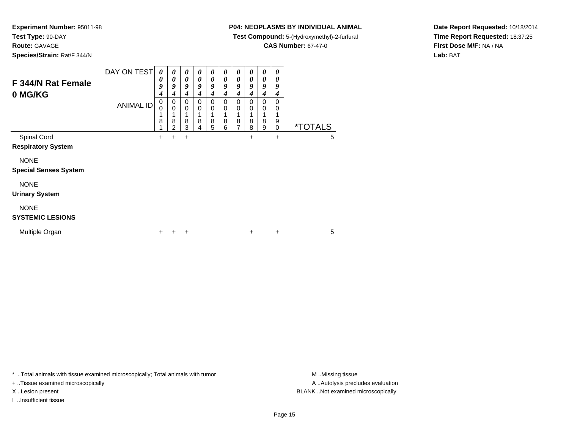**Test Type:** 90-DAY

**Route:** GAVAGE

**Species/Strain:** Rat/F 344/N

## **P04: NEOPLASMS BY INDIVIDUAL ANIMAL**

**Test Compound:** 5-(Hydroxymethyl)-2-furfural

**CAS Number:** 67-47-0

**Date Report Requested:** 10/18/2014**Time Report Requested:** 18:37:25**First Dose M/F:** NA / NA**Lab:** BAT

| F 344/N Rat Female<br>0 MG/KG               | DAY ON TEST      | $\boldsymbol{\theta}$<br>0<br>9<br>4 | 0<br>0<br>9<br>4              | 0<br>0<br>9<br>4             | 0<br>0<br>9<br>4 | 0<br>0<br>9<br>4      | 0<br>0<br>9<br>4        | 0<br>0<br>9<br>4        | 0<br>0<br>9<br>4               | 0<br>0<br>9<br>4        | 0<br>0<br>9<br>4                    |                       |
|---------------------------------------------|------------------|--------------------------------------|-------------------------------|------------------------------|------------------|-----------------------|-------------------------|-------------------------|--------------------------------|-------------------------|-------------------------------------|-----------------------|
|                                             | <b>ANIMAL ID</b> | 0<br>0<br>1<br>8                     | 0<br>0<br>8<br>$\overline{2}$ | $\Omega$<br>0<br>1<br>8<br>3 | 0<br>0<br>8<br>4 | 0<br>0<br>$\bf8$<br>5 | $\Omega$<br>0<br>8<br>6 | $\Omega$<br>0<br>8<br>7 | $\Omega$<br>$\Omega$<br>8<br>8 | $\Omega$<br>0<br>8<br>9 | $\Omega$<br>0<br>1<br>9<br>$\Omega$ | <i><b>*TOTALS</b></i> |
| Spinal Cord                                 |                  | $\ddot{}$                            | $\ddot{}$                     | $\ddot{}$                    |                  |                       |                         |                         | +                              |                         | $\ddot{}$                           | 5                     |
| <b>Respiratory System</b>                   |                  |                                      |                               |                              |                  |                       |                         |                         |                                |                         |                                     |                       |
| <b>NONE</b><br><b>Special Senses System</b> |                  |                                      |                               |                              |                  |                       |                         |                         |                                |                         |                                     |                       |
| <b>NONE</b>                                 |                  |                                      |                               |                              |                  |                       |                         |                         |                                |                         |                                     |                       |
| <b>Urinary System</b>                       |                  |                                      |                               |                              |                  |                       |                         |                         |                                |                         |                                     |                       |
| <b>NONE</b><br><b>SYSTEMIC LESIONS</b>      |                  |                                      |                               |                              |                  |                       |                         |                         |                                |                         |                                     |                       |
| Multiple Organ                              |                  | +                                    |                               | ÷                            |                  |                       |                         |                         | $\ddot{}$                      |                         | $\ddot{}$                           | 5                     |

\* ..Total animals with tissue examined microscopically; Total animals with tumor **M** . Missing tissue M ..Missing tissue

+ ..Tissue examined microscopically

I ..Insufficient tissue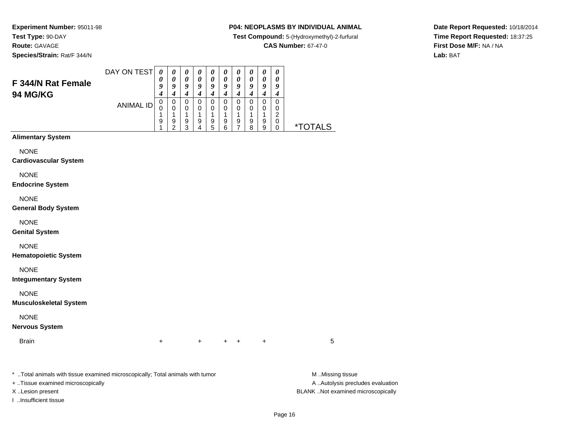**Species/Strain:** Rat/F 344/N

## **P04: NEOPLASMS BY INDIVIDUAL ANIMAL**

**Test Compound:** 5-(Hydroxymethyl)-2-furfural

**CAS Number:** 67-47-0

**Date Report Requested:** 10/18/2014**Time Report Requested:** 18:37:25**First Dose M/F:** NA / NA**Lab:** BAT

| F 344/N Rat Female                                                             | DAY ON TEST      | $\boldsymbol{\theta}$<br>0<br>9                   | 0<br>$\boldsymbol{\theta}$<br>9                                  | 0<br>$\boldsymbol{\theta}$<br>9                            | 0<br>0<br>9                                                                 | $\boldsymbol{\theta}$<br>0<br>$\boldsymbol{g}$                                                | 0<br>$\boldsymbol{\theta}$<br>$\boldsymbol{g}$                              | $\boldsymbol{\theta}$<br>0<br>9                                  | 0<br>0<br>9                                                  | $\pmb{\theta}$<br>0<br>$\boldsymbol{g}$                                     | $\boldsymbol{\theta}$<br>0<br>9                                            |                       |
|--------------------------------------------------------------------------------|------------------|---------------------------------------------------|------------------------------------------------------------------|------------------------------------------------------------|-----------------------------------------------------------------------------|-----------------------------------------------------------------------------------------------|-----------------------------------------------------------------------------|------------------------------------------------------------------|--------------------------------------------------------------|-----------------------------------------------------------------------------|----------------------------------------------------------------------------|-----------------------|
| 94 MG/KG                                                                       | <b>ANIMAL ID</b> | $\boldsymbol{4}$<br>$\pmb{0}$<br>0<br>1<br>9<br>1 | $\boldsymbol{4}$<br>$\mathbf 0$<br>0<br>1<br>9<br>$\overline{c}$ | $\boldsymbol{4}$<br>$\mathbf 0$<br>0<br>1<br>$\frac{9}{3}$ | $\boldsymbol{4}$<br>$\mathbf 0$<br>0<br>$\mathbf{1}$<br>9<br>$\overline{4}$ | $\boldsymbol{4}$<br>$\mathbf 0$<br>0<br>$\mathbf{1}$<br>$\begin{array}{c} 9 \\ 5 \end{array}$ | $\boldsymbol{4}$<br>$\mathbf 0$<br>0<br>$\mathbf{1}$<br>9<br>$6\phantom{a}$ | $\boldsymbol{4}$<br>$\mathbf 0$<br>0<br>1<br>9<br>$\overline{7}$ | $\boldsymbol{4}$<br>$\pmb{0}$<br>0<br>$\mathbf{1}$<br>9<br>8 | $\boldsymbol{4}$<br>$\pmb{0}$<br>0<br>$\mathbf{1}$<br>9<br>$\boldsymbol{9}$ | $\boldsymbol{4}$<br>$\mathbf 0$<br>0<br>$\overline{c}$<br>0<br>$\mathbf 0$ | <i><b>*TOTALS</b></i> |
| <b>Alimentary System</b>                                                       |                  |                                                   |                                                                  |                                                            |                                                                             |                                                                                               |                                                                             |                                                                  |                                                              |                                                                             |                                                                            |                       |
| <b>NONE</b><br><b>Cardiovascular System</b>                                    |                  |                                                   |                                                                  |                                                            |                                                                             |                                                                                               |                                                                             |                                                                  |                                                              |                                                                             |                                                                            |                       |
| <b>NONE</b><br><b>Endocrine System</b>                                         |                  |                                                   |                                                                  |                                                            |                                                                             |                                                                                               |                                                                             |                                                                  |                                                              |                                                                             |                                                                            |                       |
| <b>NONE</b><br><b>General Body System</b>                                      |                  |                                                   |                                                                  |                                                            |                                                                             |                                                                                               |                                                                             |                                                                  |                                                              |                                                                             |                                                                            |                       |
| <b>NONE</b><br><b>Genital System</b>                                           |                  |                                                   |                                                                  |                                                            |                                                                             |                                                                                               |                                                                             |                                                                  |                                                              |                                                                             |                                                                            |                       |
| <b>NONE</b><br><b>Hematopoietic System</b>                                     |                  |                                                   |                                                                  |                                                            |                                                                             |                                                                                               |                                                                             |                                                                  |                                                              |                                                                             |                                                                            |                       |
| <b>NONE</b><br><b>Integumentary System</b>                                     |                  |                                                   |                                                                  |                                                            |                                                                             |                                                                                               |                                                                             |                                                                  |                                                              |                                                                             |                                                                            |                       |
| <b>NONE</b><br><b>Musculoskeletal System</b>                                   |                  |                                                   |                                                                  |                                                            |                                                                             |                                                                                               |                                                                             |                                                                  |                                                              |                                                                             |                                                                            |                       |
| <b>NONE</b><br><b>Nervous System</b>                                           |                  |                                                   |                                                                  |                                                            |                                                                             |                                                                                               |                                                                             |                                                                  |                                                              |                                                                             |                                                                            |                       |
| <b>Brain</b>                                                                   |                  | $\ddot{}$                                         |                                                                  |                                                            | $+$                                                                         |                                                                                               | $\pm$                                                                       | $+$                                                              |                                                              | $\ddot{}$                                                                   |                                                                            | 5                     |
| * Total animals with tissue examined microscopically; Total animals with tumor |                  |                                                   |                                                                  |                                                            |                                                                             |                                                                                               |                                                                             |                                                                  |                                                              |                                                                             |                                                                            | M Missing tissue      |

+ ..Tissue examined microscopically

I ..Insufficient tissue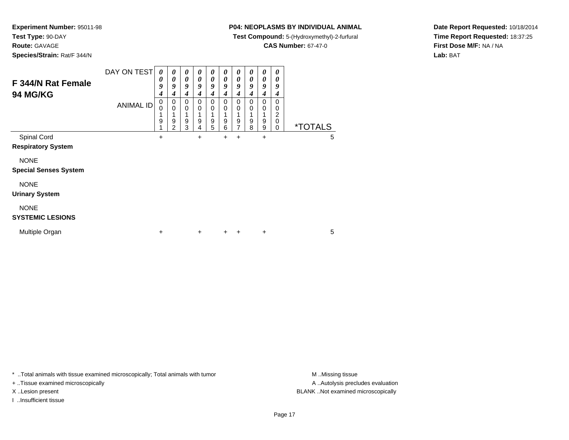**Route:** GAVAGE

**Species/Strain:** Rat/F 344/N

## **P04: NEOPLASMS BY INDIVIDUAL ANIMAL**

**Test Compound:** 5-(Hydroxymethyl)-2-furfural

**CAS Number:** 67-47-0

**Date Report Requested:** 10/18/2014**Time Report Requested:** 18:37:25**First Dose M/F:** NA / NA**Lab:** BAT

| F 344/N Rat Female<br><b>94 MG/KG</b> | DAY ON TEST<br><b>ANIMAL ID</b> | 0<br>0<br>9<br>4<br>0<br>0<br>9 | 0<br>0<br>9<br>4<br>0<br>0<br>9 | 0<br>0<br>9<br>4<br>0<br>0<br>9 | 0<br>0<br>9<br>4<br>0<br>0<br>9 | 0<br>0<br>9<br>4<br>0<br>0<br>9 | 0<br>0<br>9<br>4<br>0<br>0<br>9 | 0<br>0<br>9<br>4<br>0<br>0<br>9 | 0<br>0<br>9<br>4<br>0<br>0<br>9 | 0<br>0<br>9<br>4<br>0<br>0<br>9 | 0<br>0<br>9<br>4<br>0<br>0<br>2<br>$\Omega$ |                       |   |
|---------------------------------------|---------------------------------|---------------------------------|---------------------------------|---------------------------------|---------------------------------|---------------------------------|---------------------------------|---------------------------------|---------------------------------|---------------------------------|---------------------------------------------|-----------------------|---|
| Spinal Cord                           |                                 | 1<br>+                          | $\mathfrak{p}$                  | 3                               | 4<br>$\ddot{}$                  | 5                               | 6<br>$\ddot{}$                  | $\overline{7}$<br>$\ddot{}$     | 8                               | 9<br>$\ddot{}$                  | 0                                           | <i><b>*TOTALS</b></i> | 5 |
| <b>Respiratory System</b>             |                                 |                                 |                                 |                                 |                                 |                                 |                                 |                                 |                                 |                                 |                                             |                       |   |
| <b>NONE</b>                           |                                 |                                 |                                 |                                 |                                 |                                 |                                 |                                 |                                 |                                 |                                             |                       |   |
| <b>Special Senses System</b>          |                                 |                                 |                                 |                                 |                                 |                                 |                                 |                                 |                                 |                                 |                                             |                       |   |
| <b>NONE</b>                           |                                 |                                 |                                 |                                 |                                 |                                 |                                 |                                 |                                 |                                 |                                             |                       |   |
| <b>Urinary System</b>                 |                                 |                                 |                                 |                                 |                                 |                                 |                                 |                                 |                                 |                                 |                                             |                       |   |
| <b>NONE</b>                           |                                 |                                 |                                 |                                 |                                 |                                 |                                 |                                 |                                 |                                 |                                             |                       |   |
| <b>SYSTEMIC LESIONS</b>               |                                 |                                 |                                 |                                 |                                 |                                 |                                 |                                 |                                 |                                 |                                             |                       |   |
| Multiple Organ                        |                                 | ٠                               |                                 |                                 | $\ddot{}$                       |                                 | $\ddot{}$                       | ÷                               |                                 | ÷                               |                                             |                       | 5 |

\* ..Total animals with tissue examined microscopically; Total animals with tumor **M** . Missing tissue M ..Missing tissue

+ ..Tissue examined microscopically

I ..Insufficient tissue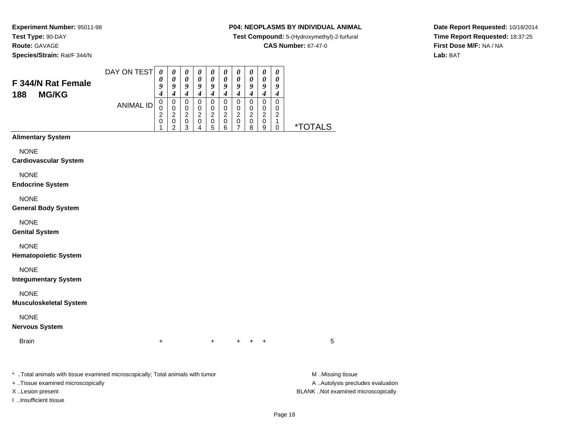**Species/Strain:** Rat/F 344/N

## **P04: NEOPLASMS BY INDIVIDUAL ANIMAL**

**Test Compound:** 5-(Hydroxymethyl)-2-furfural

**CAS Number:** 67-47-0

**Date Report Requested:** 10/18/2014**Time Report Requested:** 18:37:25**First Dose M/F:** NA / NA**Lab:** BAT

| F 344/N Rat Female                                                             | DAY ON TEST      | $\boldsymbol{\theta}$<br>$\boldsymbol{\theta}$<br>9                               | $\pmb{\theta}$<br>0<br>9                                                                    | $\boldsymbol{\theta}$<br>$\boldsymbol{\theta}$<br>9                    | $\boldsymbol{\theta}$<br>$\boldsymbol{\theta}$<br>$\boldsymbol{g}$                 | 0<br>$\pmb{\theta}$<br>9                                                             | $\boldsymbol{\theta}$<br>0<br>9                                            | $\boldsymbol{\theta}$<br>$\boldsymbol{\theta}$<br>9                                           | $\boldsymbol{\theta}$<br>$\pmb{\theta}$<br>9                             | $\pmb{\theta}$<br>$\pmb{\theta}$<br>9                                            | $\pmb{\theta}$<br>$\pmb{\theta}$<br>9                                                 |                       |
|--------------------------------------------------------------------------------|------------------|-----------------------------------------------------------------------------------|---------------------------------------------------------------------------------------------|------------------------------------------------------------------------|------------------------------------------------------------------------------------|--------------------------------------------------------------------------------------|----------------------------------------------------------------------------|-----------------------------------------------------------------------------------------------|--------------------------------------------------------------------------|----------------------------------------------------------------------------------|---------------------------------------------------------------------------------------|-----------------------|
| <b>MG/KG</b><br>188                                                            | <b>ANIMAL ID</b> | $\boldsymbol{4}$<br>$\pmb{0}$<br>$\mathbf 0$<br>$\overline{\mathbf{c}}$<br>0<br>1 | $\boldsymbol{4}$<br>$\pmb{0}$<br>$\mathbf 0$<br>$\overline{c}$<br>$\,0\,$<br>$\overline{2}$ | $\boldsymbol{4}$<br>$\pmb{0}$<br>0<br>$\overline{2}$<br>$\pmb{0}$<br>3 | $\boldsymbol{4}$<br>$\mathbf 0$<br>$\mathbf 0$<br>$\overline{c}$<br>$\pmb{0}$<br>4 | $\boldsymbol{4}$<br>$\mathbf 0$<br>$\mathbf 0$<br>$\boldsymbol{2}$<br>$\pmb{0}$<br>5 | $\boldsymbol{4}$<br>$\pmb{0}$<br>0<br>$\boldsymbol{2}$<br>$\mathsf 0$<br>6 | $\boldsymbol{4}$<br>$\pmb{0}$<br>$\mathbf 0$<br>$\boldsymbol{2}$<br>$\,0\,$<br>$\overline{7}$ | $\boldsymbol{4}$<br>$\mathbf 0$<br>0<br>$\boldsymbol{2}$<br>$\,0\,$<br>8 | $\boldsymbol{4}$<br>$\pmb{0}$<br>$\pmb{0}$<br>$\boldsymbol{2}$<br>$\pmb{0}$<br>9 | $\boldsymbol{4}$<br>$\pmb{0}$<br>0<br>$\boldsymbol{2}$<br>$\mathbf{1}$<br>$\mathbf 0$ | <i><b>*TOTALS</b></i> |
| <b>Alimentary System</b>                                                       |                  |                                                                                   |                                                                                             |                                                                        |                                                                                    |                                                                                      |                                                                            |                                                                                               |                                                                          |                                                                                  |                                                                                       |                       |
| <b>NONE</b><br><b>Cardiovascular System</b>                                    |                  |                                                                                   |                                                                                             |                                                                        |                                                                                    |                                                                                      |                                                                            |                                                                                               |                                                                          |                                                                                  |                                                                                       |                       |
| <b>NONE</b><br><b>Endocrine System</b>                                         |                  |                                                                                   |                                                                                             |                                                                        |                                                                                    |                                                                                      |                                                                            |                                                                                               |                                                                          |                                                                                  |                                                                                       |                       |
| <b>NONE</b><br><b>General Body System</b>                                      |                  |                                                                                   |                                                                                             |                                                                        |                                                                                    |                                                                                      |                                                                            |                                                                                               |                                                                          |                                                                                  |                                                                                       |                       |
| <b>NONE</b><br><b>Genital System</b>                                           |                  |                                                                                   |                                                                                             |                                                                        |                                                                                    |                                                                                      |                                                                            |                                                                                               |                                                                          |                                                                                  |                                                                                       |                       |
| <b>NONE</b><br><b>Hematopoietic System</b>                                     |                  |                                                                                   |                                                                                             |                                                                        |                                                                                    |                                                                                      |                                                                            |                                                                                               |                                                                          |                                                                                  |                                                                                       |                       |
| <b>NONE</b><br><b>Integumentary System</b>                                     |                  |                                                                                   |                                                                                             |                                                                        |                                                                                    |                                                                                      |                                                                            |                                                                                               |                                                                          |                                                                                  |                                                                                       |                       |
| <b>NONE</b><br><b>Musculoskeletal System</b>                                   |                  |                                                                                   |                                                                                             |                                                                        |                                                                                    |                                                                                      |                                                                            |                                                                                               |                                                                          |                                                                                  |                                                                                       |                       |
| <b>NONE</b><br><b>Nervous System</b>                                           |                  |                                                                                   |                                                                                             |                                                                        |                                                                                    |                                                                                      |                                                                            |                                                                                               |                                                                          |                                                                                  |                                                                                       |                       |
| <b>Brain</b>                                                                   |                  | $\ddot{}$                                                                         |                                                                                             |                                                                        |                                                                                    | $\ddot{}$                                                                            |                                                                            |                                                                                               |                                                                          | ÷                                                                                |                                                                                       | 5                     |
| * Total animals with tissue examined microscopically; Total animals with tumor |                  |                                                                                   |                                                                                             |                                                                        |                                                                                    |                                                                                      |                                                                            |                                                                                               |                                                                          |                                                                                  |                                                                                       | M Missing tissue      |

+ ..Tissue examined microscopically

I ..Insufficient tissue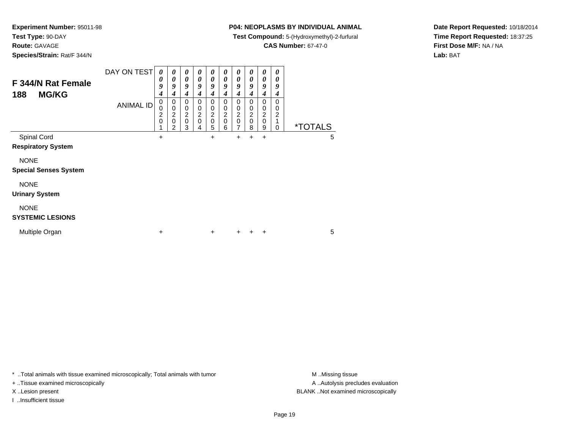**Test Type:** 90-DAY

**Route:** GAVAGE

**Species/Strain:** Rat/F 344/N

## **P04: NEOPLASMS BY INDIVIDUAL ANIMAL**

**Test Compound:** 5-(Hydroxymethyl)-2-furfural

**CAS Number:** 67-47-0

**Date Report Requested:** 10/18/2014**Time Report Requested:** 18:37:25**First Dose M/F:** NA / NA**Lab:** BAT

| F 344/N Rat Female<br><b>MG/KG</b><br>188   | DAY ON TEST      | $\boldsymbol{\theta}$<br>0<br>9<br>4    | 0<br>0<br>9<br>4                | 0<br>0<br>9<br>4                             | 0<br>0<br>9<br>4                                       | 0<br>0<br>9<br>4      | 0<br>0<br>9<br>4                             | 0<br>0<br>9<br>4                                      | $\boldsymbol{\theta}$<br>0<br>9<br>4         | 0<br>0<br>9<br>4                                       | 0<br>0<br>9<br>4                                      |                       |   |
|---------------------------------------------|------------------|-----------------------------------------|---------------------------------|----------------------------------------------|--------------------------------------------------------|-----------------------|----------------------------------------------|-------------------------------------------------------|----------------------------------------------|--------------------------------------------------------|-------------------------------------------------------|-----------------------|---|
|                                             | <b>ANIMAL ID</b> | 0<br>0<br>$\overline{2}$<br>$\mathbf 0$ | 0<br>0<br>2<br>$\mathbf 0$<br>2 | 0<br>0<br>$\overline{c}$<br>$\mathbf 0$<br>3 | 0<br>$\mathbf 0$<br>$\overline{c}$<br>$\mathbf 0$<br>4 | 0<br>0<br>2<br>0<br>5 | 0<br>0<br>$\overline{c}$<br>$\mathbf 0$<br>6 | 0<br>0<br>$\overline{\mathbf{c}}$<br>$\mathbf 0$<br>7 | 0<br>0<br>$\overline{c}$<br>$\mathbf 0$<br>8 | 0<br>$\mathbf 0$<br>$\overline{c}$<br>$\mathbf 0$<br>9 | 0<br>0<br>$\overline{\mathbf{c}}$<br>1<br>$\mathbf 0$ | <i><b>*TOTALS</b></i> |   |
| Spinal Cord<br><b>Respiratory System</b>    |                  | +                                       |                                 |                                              |                                                        | +                     |                                              | +                                                     | +                                            | +                                                      |                                                       |                       | 5 |
| <b>NONE</b><br><b>Special Senses System</b> |                  |                                         |                                 |                                              |                                                        |                       |                                              |                                                       |                                              |                                                        |                                                       |                       |   |
| <b>NONE</b><br><b>Urinary System</b>        |                  |                                         |                                 |                                              |                                                        |                       |                                              |                                                       |                                              |                                                        |                                                       |                       |   |
| <b>NONE</b><br><b>SYSTEMIC LESIONS</b>      |                  |                                         |                                 |                                              |                                                        |                       |                                              |                                                       |                                              |                                                        |                                                       |                       |   |
| Multiple Organ                              |                  | +                                       |                                 |                                              |                                                        | $\ddot{}$             |                                              | +                                                     |                                              | +                                                      |                                                       |                       | 5 |

\* ..Total animals with tissue examined microscopically; Total animals with tumor **M** . Missing tissue M ..Missing tissue

+ ..Tissue examined microscopically

I ..Insufficient tissue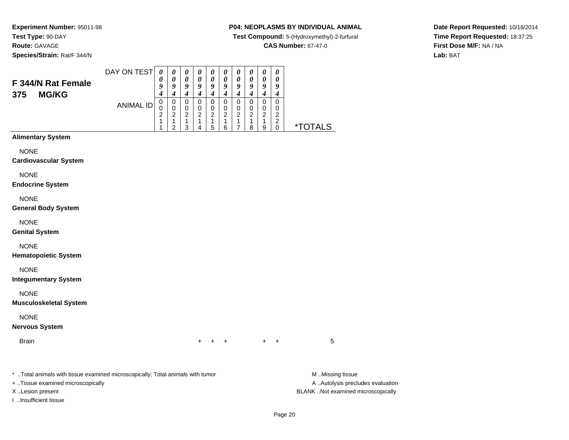**Species/Strain:** Rat/F 344/N

## **P04: NEOPLASMS BY INDIVIDUAL ANIMAL**

**Test Compound:** 5-(Hydroxymethyl)-2-furfural

**CAS Number:** 67-47-0

**Date Report Requested:** 10/18/2014**Time Report Requested:** 18:37:25**First Dose M/F:** NA / NA**Lab:** BAT

| F 344/N Rat Female<br><b>MG/KG</b><br>375                                                                               | DAY ON TEST      | $\boldsymbol{\theta}$<br>0<br>9<br>$\overline{\boldsymbol{4}}$ | $\boldsymbol{\theta}$<br>$\boldsymbol{\theta}$<br>9<br>$\overline{\boldsymbol{4}}$ | $\boldsymbol{\theta}$<br>$\boldsymbol{\theta}$<br>9<br>$\overline{\mathbf{4}}$ | $\boldsymbol{\theta}$<br>$\boldsymbol{\theta}$<br>9<br>$\boldsymbol{4}$ | $\pmb{\theta}$<br>$\boldsymbol{\theta}$<br>9<br>$\overline{\boldsymbol{4}}$ | $\boldsymbol{\theta}$<br>0<br>9<br>$\overline{\boldsymbol{4}}$  | $\pmb{\theta}$<br>$\boldsymbol{\theta}$<br>9<br>$\boldsymbol{4}$         | $\pmb{\theta}$<br>0<br>9<br>$\overline{\boldsymbol{4}}$ | $\boldsymbol{\theta}$<br>0<br>9<br>$\boldsymbol{4}$           | $\boldsymbol{\theta}$<br>$\boldsymbol{\theta}$<br>9<br>$\boldsymbol{4}$         |                         |
|-------------------------------------------------------------------------------------------------------------------------|------------------|----------------------------------------------------------------|------------------------------------------------------------------------------------|--------------------------------------------------------------------------------|-------------------------------------------------------------------------|-----------------------------------------------------------------------------|-----------------------------------------------------------------|--------------------------------------------------------------------------|---------------------------------------------------------|---------------------------------------------------------------|---------------------------------------------------------------------------------|-------------------------|
|                                                                                                                         | <b>ANIMAL ID</b> | $\,0\,$<br>$\pmb{0}$<br>$\overline{c}$<br>1<br>1               | $\pmb{0}$<br>$\pmb{0}$<br>$\overline{2}$<br>$\mathbf{1}$<br>$\overline{2}$         | $\mathbf 0$<br>$\pmb{0}$<br>$\overline{c}$<br>$\mathbf{1}$<br>3                | $\mathbf 0$<br>$\pmb{0}$<br>$\overline{2}$<br>1<br>4                    | 0<br>$\pmb{0}$<br>$\overline{2}$<br>$\mathbf{1}$<br>5                       | $\pmb{0}$<br>$\mathbf 0$<br>$\overline{c}$<br>$\mathbf{1}$<br>6 | $\,0\,$<br>$\pmb{0}$<br>$\overline{2}$<br>$\mathbf{1}$<br>$\overline{7}$ | $\mathbf 0$<br>$\pmb{0}$<br>$\overline{c}$<br>1<br>8    | $\pmb{0}$<br>$\pmb{0}$<br>$\overline{2}$<br>$\mathbf{1}$<br>9 | $\mathbf 0$<br>$\pmb{0}$<br>$\boldsymbol{2}$<br>$\boldsymbol{2}$<br>$\mathbf 0$ | <u>*TOTALS</u>          |
| <b>Alimentary System</b>                                                                                                |                  |                                                                |                                                                                    |                                                                                |                                                                         |                                                                             |                                                                 |                                                                          |                                                         |                                                               |                                                                                 |                         |
| <b>NONE</b><br><b>Cardiovascular System</b>                                                                             |                  |                                                                |                                                                                    |                                                                                |                                                                         |                                                                             |                                                                 |                                                                          |                                                         |                                                               |                                                                                 |                         |
| <b>NONE</b><br><b>Endocrine System</b>                                                                                  |                  |                                                                |                                                                                    |                                                                                |                                                                         |                                                                             |                                                                 |                                                                          |                                                         |                                                               |                                                                                 |                         |
| <b>NONE</b><br><b>General Body System</b>                                                                               |                  |                                                                |                                                                                    |                                                                                |                                                                         |                                                                             |                                                                 |                                                                          |                                                         |                                                               |                                                                                 |                         |
| <b>NONE</b><br><b>Genital System</b>                                                                                    |                  |                                                                |                                                                                    |                                                                                |                                                                         |                                                                             |                                                                 |                                                                          |                                                         |                                                               |                                                                                 |                         |
| <b>NONE</b><br><b>Hematopoietic System</b>                                                                              |                  |                                                                |                                                                                    |                                                                                |                                                                         |                                                                             |                                                                 |                                                                          |                                                         |                                                               |                                                                                 |                         |
| <b>NONE</b><br><b>Integumentary System</b>                                                                              |                  |                                                                |                                                                                    |                                                                                |                                                                         |                                                                             |                                                                 |                                                                          |                                                         |                                                               |                                                                                 |                         |
| <b>NONE</b><br><b>Musculoskeletal System</b>                                                                            |                  |                                                                |                                                                                    |                                                                                |                                                                         |                                                                             |                                                                 |                                                                          |                                                         |                                                               |                                                                                 |                         |
| <b>NONE</b><br><b>Nervous System</b>                                                                                    |                  |                                                                |                                                                                    |                                                                                |                                                                         |                                                                             |                                                                 |                                                                          |                                                         |                                                               |                                                                                 |                         |
| <b>Brain</b>                                                                                                            |                  |                                                                |                                                                                    |                                                                                | +                                                                       |                                                                             | +                                                               |                                                                          |                                                         | $\ddot{}$                                                     | +                                                                               | 5                       |
| . The contract of the contract of the contract of the contract of the state of the contract of the contract of $\alpha$ |                  |                                                                |                                                                                    |                                                                                |                                                                         |                                                                             |                                                                 |                                                                          |                                                         |                                                               |                                                                                 | $A = A + 1 + 1 + 1 + 1$ |

..Total animals with tissue examined microscopically; Total animals with tumor M ..Missing tissue M ..Missing tissue

+ ..Tissue examined microscopically

I ..Insufficient tissue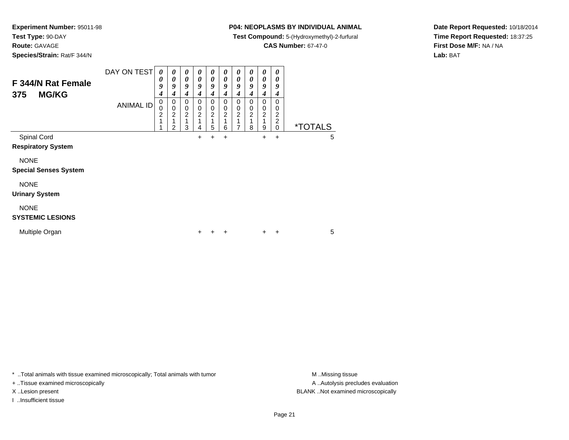**Test Type:** 90-DAY**Route:** GAVAGE

**Species/Strain:** Rat/F 344/N

## **P04: NEOPLASMS BY INDIVIDUAL ANIMAL**

**Test Compound:** 5-(Hydroxymethyl)-2-furfural

**CAS Number:** 67-47-0

**Date Report Requested:** 10/18/2014**Time Report Requested:** 18:37:25**First Dose M/F:** NA / NA**Lab:** BAT

| F 344/N Rat Female<br><b>MG/KG</b><br>375   | DAY ON TEST<br><b>ANIMAL ID</b> | 0<br>$\theta$<br>9<br>4<br>0<br>0<br>$\overline{c}$<br>1 | 0<br>0<br>9<br>4<br>0<br>0<br>$\overline{c}$<br>2 | 0<br>0<br>9<br>4<br>0<br>0<br>$\overline{c}$<br>3 | 0<br>0<br>9<br>4<br>0<br>0<br>$\overline{c}$<br>4 | 0<br>0<br>9<br>4<br>0<br>0<br>$\overline{c}$<br>1<br>5 | 0<br>0<br>9<br>$\boldsymbol{4}$<br>0<br>0<br>$\boldsymbol{2}$<br>1<br>6 | 0<br>0<br>9<br>4<br>0<br>0<br>$\overline{c}$ | 0<br>0<br>9<br>4<br>0<br>0<br>$\overline{c}$<br>8 | 0<br>0<br>9<br>4<br>0<br>0<br>$\overline{c}$<br>9 | 0<br>0<br>9<br>4<br>0<br>0<br>$\overline{\mathbf{c}}$<br>$\overline{\mathbf{c}}$<br>$\mathbf 0$ | <i><b>*TOTALS</b></i> |   |
|---------------------------------------------|---------------------------------|----------------------------------------------------------|---------------------------------------------------|---------------------------------------------------|---------------------------------------------------|--------------------------------------------------------|-------------------------------------------------------------------------|----------------------------------------------|---------------------------------------------------|---------------------------------------------------|-------------------------------------------------------------------------------------------------|-----------------------|---|
| Spinal Cord<br><b>Respiratory System</b>    |                                 |                                                          |                                                   |                                                   | +                                                 | $\ddot{}$                                              | $\ddot{}$                                                               |                                              |                                                   | $\ddot{}$                                         | +                                                                                               |                       | 5 |
| <b>NONE</b><br><b>Special Senses System</b> |                                 |                                                          |                                                   |                                                   |                                                   |                                                        |                                                                         |                                              |                                                   |                                                   |                                                                                                 |                       |   |
| <b>NONE</b><br><b>Urinary System</b>        |                                 |                                                          |                                                   |                                                   |                                                   |                                                        |                                                                         |                                              |                                                   |                                                   |                                                                                                 |                       |   |
| <b>NONE</b><br><b>SYSTEMIC LESIONS</b>      |                                 |                                                          |                                                   |                                                   |                                                   |                                                        |                                                                         |                                              |                                                   |                                                   |                                                                                                 |                       |   |
| Multiple Organ                              |                                 |                                                          |                                                   |                                                   | +                                                 |                                                        |                                                                         |                                              |                                                   | +                                                 | ٠                                                                                               |                       | 5 |

\* ..Total animals with tissue examined microscopically; Total animals with tumor **M** . Missing tissue M ..Missing tissue

+ ..Tissue examined microscopically

I ..Insufficient tissue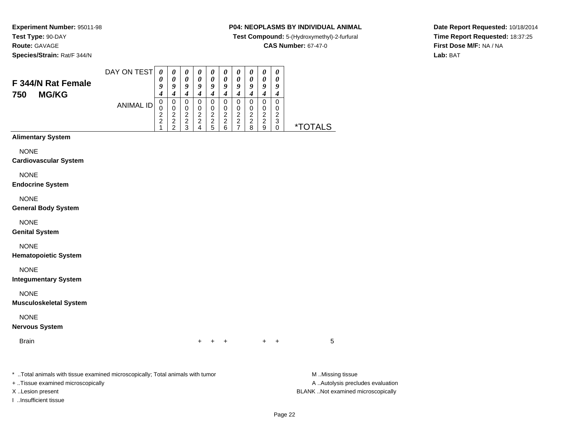**Species/Strain:** Rat/F 344/N

## **P04: NEOPLASMS BY INDIVIDUAL ANIMAL**

**Test Compound:** 5-(Hydroxymethyl)-2-furfural

**CAS Number:** 67-47-0

**Date Report Requested:** 10/18/2014**Time Report Requested:** 18:37:25**First Dose M/F:** NA / NA**Lab:** BAT

| F 344/N Rat Female<br>750<br><b>MG/KG</b>    | DAY ON TEST      | $\boldsymbol{\theta}$<br>0<br>9<br>$\boldsymbol{4}$             | $\boldsymbol{\theta}$<br>$\boldsymbol{\theta}$<br>9<br>$\boldsymbol{4}$ | $\boldsymbol{\theta}$<br>$\boldsymbol{\theta}$<br>9<br>$\overline{\boldsymbol{4}}$ | $\boldsymbol{\theta}$<br>0<br>9<br>$\boldsymbol{4}$ | $\boldsymbol{\theta}$<br>$\pmb{\theta}$<br>9<br>$\boldsymbol{4}$          | $\boldsymbol{\theta}$<br>$\boldsymbol{\theta}$<br>9<br>$\boldsymbol{4}$ | $\boldsymbol{\theta}$<br>$\boldsymbol{\theta}$<br>9<br>$\boldsymbol{4}$ | 0<br>0<br>9<br>$\boldsymbol{4}$      | $\boldsymbol{\theta}$<br>0<br>9<br>$\boldsymbol{4}$           | $\boldsymbol{\theta}$<br>$\boldsymbol{\theta}$<br>9<br>$\boldsymbol{4}$        |                |
|----------------------------------------------|------------------|-----------------------------------------------------------------|-------------------------------------------------------------------------|------------------------------------------------------------------------------------|-----------------------------------------------------|---------------------------------------------------------------------------|-------------------------------------------------------------------------|-------------------------------------------------------------------------|--------------------------------------|---------------------------------------------------------------|--------------------------------------------------------------------------------|----------------|
|                                              | <b>ANIMAL ID</b> | $\pmb{0}$<br>$\pmb{0}$<br>$\overline{c}$<br>$\overline{c}$<br>1 | $\mbox{O}$<br>$\mathbf 0$<br>$\begin{array}{c} 2 \\ 2 \\ 2 \end{array}$ | $\pmb{0}$<br>$\pmb{0}$<br>$\overline{c}$<br>$\frac{2}{3}$                          | $\pmb{0}$<br>$\pmb{0}$<br>$\frac{2}{2}$<br>4        | $\overline{0}$<br>$\pmb{0}$<br>$\begin{array}{c} 2 \\ 2 \\ 5 \end{array}$ | $\pmb{0}$<br>$\mathbf 0$<br>$\boldsymbol{2}$<br>$\boldsymbol{2}$<br>6   | $\mathsf 0$<br>$\mathbf 0$<br>$\frac{2}{2}$<br>$\overline{7}$           | $\pmb{0}$<br>0<br>$\frac{2}{2}$<br>8 | $\mathsf 0$<br>$\pmb{0}$<br>$\frac{2}{2}$<br>$\boldsymbol{9}$ | $\pmb{0}$<br>0<br>$\boldsymbol{2}$<br>$\ensuremath{\mathsf{3}}$<br>$\mathbf 0$ | <u>*TOTALS</u> |
| <b>Alimentary System</b>                     |                  |                                                                 |                                                                         |                                                                                    |                                                     |                                                                           |                                                                         |                                                                         |                                      |                                                               |                                                                                |                |
| <b>NONE</b><br><b>Cardiovascular System</b>  |                  |                                                                 |                                                                         |                                                                                    |                                                     |                                                                           |                                                                         |                                                                         |                                      |                                                               |                                                                                |                |
| <b>NONE</b><br><b>Endocrine System</b>       |                  |                                                                 |                                                                         |                                                                                    |                                                     |                                                                           |                                                                         |                                                                         |                                      |                                                               |                                                                                |                |
| <b>NONE</b><br><b>General Body System</b>    |                  |                                                                 |                                                                         |                                                                                    |                                                     |                                                                           |                                                                         |                                                                         |                                      |                                                               |                                                                                |                |
| <b>NONE</b><br><b>Genital System</b>         |                  |                                                                 |                                                                         |                                                                                    |                                                     |                                                                           |                                                                         |                                                                         |                                      |                                                               |                                                                                |                |
| <b>NONE</b><br><b>Hematopoietic System</b>   |                  |                                                                 |                                                                         |                                                                                    |                                                     |                                                                           |                                                                         |                                                                         |                                      |                                                               |                                                                                |                |
| <b>NONE</b><br><b>Integumentary System</b>   |                  |                                                                 |                                                                         |                                                                                    |                                                     |                                                                           |                                                                         |                                                                         |                                      |                                                               |                                                                                |                |
| <b>NONE</b><br><b>Musculoskeletal System</b> |                  |                                                                 |                                                                         |                                                                                    |                                                     |                                                                           |                                                                         |                                                                         |                                      |                                                               |                                                                                |                |
| <b>NONE</b><br><b>Nervous System</b>         |                  |                                                                 |                                                                         |                                                                                    |                                                     |                                                                           |                                                                         |                                                                         |                                      |                                                               |                                                                                |                |
| <b>Brain</b>                                 |                  |                                                                 |                                                                         |                                                                                    | $\ddot{}$                                           |                                                                           |                                                                         |                                                                         |                                      | $+$                                                           | $\ddot{}$                                                                      | 5              |
|                                              |                  |                                                                 |                                                                         |                                                                                    |                                                     |                                                                           |                                                                         |                                                                         |                                      |                                                               |                                                                                |                |

\* ..Total animals with tissue examined microscopically; Total animals with tumor **M** . Missing tissue M ..Missing tissue + ..Tissue examined microscopically

I ..Insufficient tissue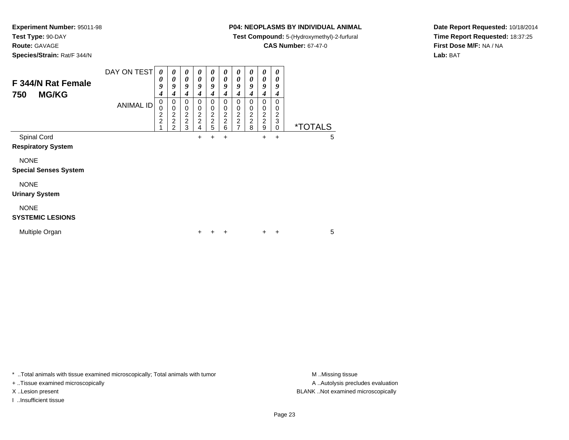**Test Type:** 90-DAY

**Route:** GAVAGE

**Species/Strain:** Rat/F 344/N

## **P04: NEOPLASMS BY INDIVIDUAL ANIMAL**

**Test Compound:** 5-(Hydroxymethyl)-2-furfural

**CAS Number:** 67-47-0

**Date Report Requested:** 10/18/2014**Time Report Requested:** 18:37:25**First Dose M/F:** NA / NA**Lab:** BAT

| F 344/N Rat Female<br><b>MG/KG</b><br>750   | DAY ON TEST<br><b>ANIMAL ID</b> | 0<br>0<br>9<br>4<br>0<br>0<br>$\overline{c}$<br>$\overline{c}$ | 0<br>0<br>9<br>4<br>0<br>$\mathbf 0$<br>$\overline{2}$<br>$\overline{c}$ | 0<br>0<br>9<br>4<br>0<br>0<br>$\frac{2}{2}$ | 0<br>0<br>9<br>4<br>0<br>0<br>$\boldsymbol{2}$<br>$\overline{c}$ | 0<br>0<br>9<br>4<br>0<br>0<br>$\frac{2}{5}$ | 0<br>0<br>9<br>4<br>0<br>0<br>$\begin{array}{c}\n 2 \\  2 \\  6\n \end{array}$ | 0<br>0<br>9<br>4<br>0<br>0<br>$\frac{2}{2}$ | $\boldsymbol{\theta}$<br>0<br>9<br>4<br>$\mathbf 0$<br>0<br>$\begin{array}{c} 2 \\ 2 \\ 8 \end{array}$ | 0<br>0<br>9<br>4<br>0<br>0<br>$\frac{2}{9}$ | 0<br>0<br>9<br>4<br>0<br>0<br>$\overline{c}$<br>3 |                       |   |
|---------------------------------------------|---------------------------------|----------------------------------------------------------------|--------------------------------------------------------------------------|---------------------------------------------|------------------------------------------------------------------|---------------------------------------------|--------------------------------------------------------------------------------|---------------------------------------------|--------------------------------------------------------------------------------------------------------|---------------------------------------------|---------------------------------------------------|-----------------------|---|
| Spinal Cord<br><b>Respiratory System</b>    |                                 |                                                                | $\mathfrak{p}$                                                           | 3                                           | 4<br>+                                                           | $\ddot{}$                                   | $\ddot{}$                                                                      |                                             |                                                                                                        | $\ddot{}$                                   | $\mathbf 0$<br>$\ddot{}$                          | <i><b>*TOTALS</b></i> | 5 |
| <b>NONE</b><br><b>Special Senses System</b> |                                 |                                                                |                                                                          |                                             |                                                                  |                                             |                                                                                |                                             |                                                                                                        |                                             |                                                   |                       |   |
| <b>NONE</b><br><b>Urinary System</b>        |                                 |                                                                |                                                                          |                                             |                                                                  |                                             |                                                                                |                                             |                                                                                                        |                                             |                                                   |                       |   |
| <b>NONE</b><br><b>SYSTEMIC LESIONS</b>      |                                 |                                                                |                                                                          |                                             |                                                                  |                                             |                                                                                |                                             |                                                                                                        |                                             |                                                   |                       |   |
| Multiple Organ                              |                                 |                                                                |                                                                          |                                             | +                                                                |                                             |                                                                                |                                             |                                                                                                        | +                                           | ÷                                                 |                       | 5 |

\* ..Total animals with tissue examined microscopically; Total animals with tumor **M** . Missing tissue M ..Missing tissue

+ ..Tissue examined microscopically

I ..Insufficient tissue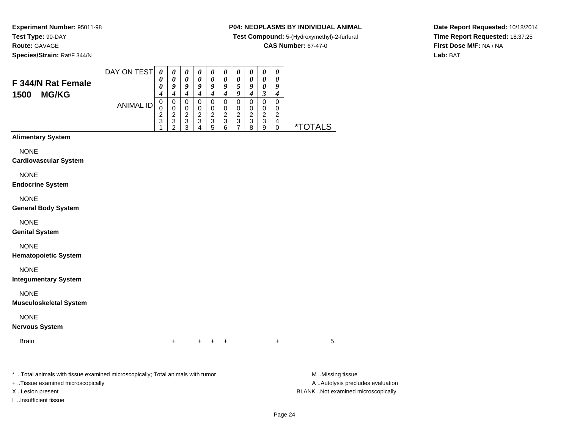**Species/Strain:** Rat/F 344/N

## **P04: NEOPLASMS BY INDIVIDUAL ANIMAL**

**Test Compound:** 5-(Hydroxymethyl)-2-furfural

**CAS Number:** 67-47-0

**Date Report Requested:** 10/18/2014**Time Report Requested:** 18:37:25**First Dose M/F:** NA / NA**Lab:** BAT

| F 344/N Rat Female                                                             | DAY ON TEST      | $\boldsymbol{\theta}$<br>$\boldsymbol{\theta}$<br>$\boldsymbol{\theta}$ | $\boldsymbol{\theta}$<br>$\boldsymbol{\theta}$<br>9                                                           | $\boldsymbol{\theta}$<br>$\boldsymbol{\theta}$<br>9                                  | $\boldsymbol{\theta}$<br>$\boldsymbol{\theta}$<br>9                                                         | $\boldsymbol{\theta}$<br>$\boldsymbol{\theta}$<br>9  | $\boldsymbol{\theta}$<br>$\boldsymbol{\theta}$<br>9                                                         | $\boldsymbol{\theta}$<br>0<br>5                                                                          | $\boldsymbol{\theta}$<br>0<br>9                                  | $\boldsymbol{\theta}$<br>$\boldsymbol{\theta}$<br>$\boldsymbol{\theta}$            | $\boldsymbol{\theta}$<br>$\boldsymbol{\theta}$<br>9                                                      |                       |
|--------------------------------------------------------------------------------|------------------|-------------------------------------------------------------------------|---------------------------------------------------------------------------------------------------------------|--------------------------------------------------------------------------------------|-------------------------------------------------------------------------------------------------------------|------------------------------------------------------|-------------------------------------------------------------------------------------------------------------|----------------------------------------------------------------------------------------------------------|------------------------------------------------------------------|------------------------------------------------------------------------------------|----------------------------------------------------------------------------------------------------------|-----------------------|
| 1500<br><b>MG/KG</b>                                                           | <b>ANIMAL ID</b> | $\boldsymbol{4}$<br>$\mathbf 0$<br>$\mathbf 0$<br>$\frac{2}{3}$<br>1    | $\boldsymbol{4}$<br>$\mathbf 0$<br>$\pmb{0}$<br>$\overline{2}$<br>$\ensuremath{\mathsf{3}}$<br>$\overline{2}$ | $\boldsymbol{4}$<br>$\mathbf 0$<br>$\begin{array}{c}\n0 \\ 2 \\ 3 \\ 3\n\end{array}$ | $\boldsymbol{4}$<br>$\pmb{0}$<br>$\pmb{0}$<br>$\overline{c}$<br>$\ensuremath{\mathsf{3}}$<br>$\overline{4}$ | $\boldsymbol{4}$<br>$\mathbf 0$<br>$0$<br>$3$<br>$5$ | $\boldsymbol{4}$<br>$\mathbf 0$<br>$\,0\,$<br>$\overline{2}$<br>$\ensuremath{\mathsf{3}}$<br>$\overline{6}$ | $\boldsymbol{g}$<br>$\mathbf 0$<br>$\,0\,$<br>$\mathbf 2$<br>$\ensuremath{\mathsf{3}}$<br>$\overline{7}$ | $\boldsymbol{4}$<br>$\pmb{0}$<br>$\frac{0}{2}$<br>$\overline{8}$ | $\mathfrak{z}$<br>$\boldsymbol{0}$<br>$\pmb{0}$<br>$\overline{2}$<br>$\frac{3}{9}$ | $\boldsymbol{4}$<br>$\pmb{0}$<br>$\mathbf 0$<br>$\overline{c}$<br>$\overline{\mathbf{4}}$<br>$\mathbf 0$ | <i><b>*TOTALS</b></i> |
| <b>Alimentary System</b>                                                       |                  |                                                                         |                                                                                                               |                                                                                      |                                                                                                             |                                                      |                                                                                                             |                                                                                                          |                                                                  |                                                                                    |                                                                                                          |                       |
| <b>NONE</b><br><b>Cardiovascular System</b>                                    |                  |                                                                         |                                                                                                               |                                                                                      |                                                                                                             |                                                      |                                                                                                             |                                                                                                          |                                                                  |                                                                                    |                                                                                                          |                       |
| <b>NONE</b><br><b>Endocrine System</b>                                         |                  |                                                                         |                                                                                                               |                                                                                      |                                                                                                             |                                                      |                                                                                                             |                                                                                                          |                                                                  |                                                                                    |                                                                                                          |                       |
| <b>NONE</b><br><b>General Body System</b>                                      |                  |                                                                         |                                                                                                               |                                                                                      |                                                                                                             |                                                      |                                                                                                             |                                                                                                          |                                                                  |                                                                                    |                                                                                                          |                       |
| <b>NONE</b><br><b>Genital System</b>                                           |                  |                                                                         |                                                                                                               |                                                                                      |                                                                                                             |                                                      |                                                                                                             |                                                                                                          |                                                                  |                                                                                    |                                                                                                          |                       |
| <b>NONE</b><br><b>Hematopoietic System</b>                                     |                  |                                                                         |                                                                                                               |                                                                                      |                                                                                                             |                                                      |                                                                                                             |                                                                                                          |                                                                  |                                                                                    |                                                                                                          |                       |
| <b>NONE</b><br><b>Integumentary System</b>                                     |                  |                                                                         |                                                                                                               |                                                                                      |                                                                                                             |                                                      |                                                                                                             |                                                                                                          |                                                                  |                                                                                    |                                                                                                          |                       |
| <b>NONE</b><br><b>Musculoskeletal System</b>                                   |                  |                                                                         |                                                                                                               |                                                                                      |                                                                                                             |                                                      |                                                                                                             |                                                                                                          |                                                                  |                                                                                    |                                                                                                          |                       |
| <b>NONE</b><br><b>Nervous System</b>                                           |                  |                                                                         |                                                                                                               |                                                                                      |                                                                                                             |                                                      |                                                                                                             |                                                                                                          |                                                                  |                                                                                    |                                                                                                          |                       |
| <b>Brain</b>                                                                   |                  |                                                                         | $\ddot{}$                                                                                                     |                                                                                      |                                                                                                             | $+$ $+$                                              | $\ddot{}$                                                                                                   |                                                                                                          |                                                                  |                                                                                    | $\ddot{}$                                                                                                | 5                     |
| * Total animals with tissue examined microscopically; Total animals with tumor |                  |                                                                         |                                                                                                               |                                                                                      |                                                                                                             |                                                      |                                                                                                             |                                                                                                          |                                                                  |                                                                                    |                                                                                                          | M Missing tissue      |

+ ..Tissue examined microscopically

I ..Insufficient tissue